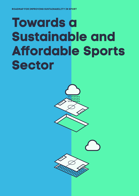# **Towards a Sustainable and Affordable Sports Sector**



**TOWARDS A SUSTAINABLE AND AFFORDABLE SPORTS SECTOR** 1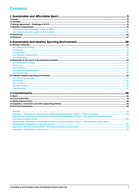#### **Contents**

| Appendix 2A. Timeframe for Roadmap for Improving Sustainability in Sport - Sporting environment based on |  |
|----------------------------------------------------------------------------------------------------------|--|
|                                                                                                          |  |
| Appendix 2B. Timeframe for Roadmap for Improving Sustainability in Sport: - Pesticide-free sports fields |  |
|                                                                                                          |  |
|                                                                                                          |  |
|                                                                                                          |  |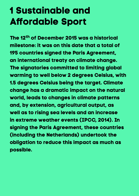# <span id="page-2-0"></span>**1 Sustainable and Affordable Sport**

**The 12th of December 2015 was a historical milestone: it was on this date that a total of 195 countries signed the Paris Agreement, an international treaty on climate change. The signatories committed to limiting global warming to well below 2 degrees Celsius, with 1.5 degrees Celsius being the target. Climate change has a dramatic impact on the natural world, leads to changes in climate patterns and, by extension, agricultural output, as well as to rising sea levels and an increase in extreme weather events (IPCC, 2014). In signing the Paris Agreement, these countries (including the Netherlands) undertook the obligation to reduce this impact as much as possible.**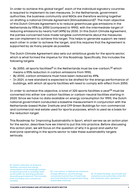In order to achieve this global target<sup>1</sup>, each of the individual signatory countries is required to implement its own measures. In the Netherlands, government authorities, the business community and NGOs are therefore working together on drafting a national Climate Agreement (Klimaatakkoord)2. The main objective of this Dutch Climate Agreement is to reduce greenhouse gas emissions in the Netherlands by 95% by 2050 (compared to 1990), with the intermediate target of reducing emissions by nearly half (49%) by 2030. In this Dutch Climate Agreement, the parties concerned have made tangible commitments about the measures we can implement to achieve this target. This helps to generate support: we need each other in order to achieve the target, and this requires that the Agreement is supported by as many people as possible.

The Dutch Climate Agreement also sets out ambitious goals for the sports sector, which is what formed the impetus for this Roadmap. Specifically, this includes the following targets:

- By 2050, all sports facilities<sup>[1]</sup> in the Netherlands must be low-carbon,<sup>[2]</sup> which means a 95% reduction in carbon emissions from 1990;
- By 2030, carbon emissions must have been reduced by 49%;
- In 2021, a new standard is expected to be drafted for the energy performance of buildings, with which all sports facilities will need to comply with effect from 2050.

In order to achieve this objective, a total of 320 sports facilities a year<sup>[3]</sup> must be converted into either low-carbon facilities or carbon-neutral facilities starting in 2020. Since we have no data available on energy consumption for 1990, the Dutch national government conducted a baseline measurement in conjunction with the Netherlands-based Mulier Institute and CFP Green Buildings for non-commercial and commercial real estate used for sports purposes, which is used as a basis for the reduction target.

This Roadmap for Improving Sustainability in Sport, which serves as an action plan for the sector, describes how we intend to put this into practice. Before discussing this action plan, we will focus on the question of why it is good and useful for everyone operating in the sports sector to take these sustainability targets seriously.

[1] Carbon reduction at all sports facilities concerns the energy consumption of the buildings located on sports grounds or buildings used by the public for sporting purposes (excluding gymnasiums). This includes both municipal and commercial facilities.

[2] 'Low carbon' is defined as: maximum energy efficiency, and the energy consumed must be free of fossil fuels and must therefore be generated using sustainable methods.

[3] Of these facilities, around 200 are owned by local authorities, while 100 are owned by other operators.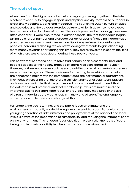#### **The roots of sport**

When men from the higher social echelons began gathering together in the late nineteenth century to engage in sport and physical activity, they did so outdoors: in forest and woodlands, parks and meadows. The flourishing Dutch culture of clubs and societies and the outdoor exercise culture to which it gave rise have always been closely linked to a love of nature. The sports practised in indoor gymnasiums after World War II were also rooted in outdoor sports. The fact that people began taking up a larger number and a greater variety of sports (including indoors) also prompted more government intervention. Sport was believed to contribute to people's individual wellbeing, which is why local governments began allocating more money towards sport during this time. They mainly invested in sports facilities, of which there was a huge dearth during these postwar years.

This shows that sport and nature have traditionally been closely entwined, and people's access to the healthy practice of sports was considered self-evident. However, until recently issues such as sustainability and environmental awareness were not on the agenda. These are issues for the long term, while sports clubs are concerned mainly with the immediate future: the next match or tournament. They focus on ensuring that there are a sufficient number of volunteers, players and coaches available, that the pitches and courts are well maintained, that the cafeteria is well stocked, and that membership levels are maintained and improved. Due to this short-term focus, energy-efficiency measures or the use of circular materials barely got a look in in the world of sport. The challenge we currently face collectively is to change all this.

Fortunately, the tide is turning, and the public focus on climate and the environment is gradually carried through into the world of sport. Particularly the younger generation of administrators and policymakers at the national and local levels is aware of the importance of sustainability and reducing the impact of sport on the environment. This renewed focus also ties in closely with the roots of sport: taking part in physical activity in a healthy and natural environment.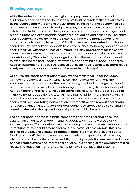#### **Showing courage**

While the Netherlands may not be a global superpower and sport has not traditionally been prioritized domestically, we must not underestimate ourselves, as the Dutch economy is among the 20 largest in the world. The country has also consistently punched above its weight in sport, and – based on the amount of real estate in the Netherlands used for sports purposes – sport occupies a significant place in Dutch society alongside healthcare, education and hospitality. The entire sports economy makes up 1 % of the Dutch GDP; there are many sectors and industries which are smaller. A total of 8 million people in the Netherlands like to spend time every weekend on sports fields and pitches, swimming pools and other sports facilities. With these kinds of numbers, it is only appropriate for the sports sector to demonstrate both maturity and a certain level of ambition when it comes to sustainability. This is, in fact, also ingrained into the very fabric of sport: wanting to excel and be the best, leading by example and showing courage. It can also have an inspirational effect: if we achieve our sustainability targets at sports clubs, surely we must be able to accomplish the same in our homes?

Of course, the sports sector cannot achieve the targets set under the Dutch Climate Agreement on its own, which is why the national government, the sports sector and local authorities are preparing this Roadmap together. Local authorities are faced with the wider challenge of improving the sustainability of non-commercial real estate, including sports facilities. Municipal sports budgets in the Netherlands add up to a total of more than €1 billion; more than 71% of this amount is allocated towards the construction, maintenance and operation of sports facilities. Facilitating participation in competitive and recreational sports is not an obligation under Dutch law; local authorities choose to do so voluntarily, based on the belief that sports have a significant public benefit.

The Netherlands is home to a large number of sports facilities that consume substantial amounts of energy, including obsolete gyms and – especially – swimming pools. If local authorities start working on creating a sustainable sports infrastructure, this could potentially result in substantial cost savings. This also applies to the issue of climate adaptation. Thanks to smart innovations, sports facilities with artificial grass can serve to absorb large quantities of rainwater, which can also be purified and reused. High-quality vegetation ensures a reduction of heat-related stress and improves air quality. This cooling of the environment also results in a reduction in energy consumption by air-conditioning systems.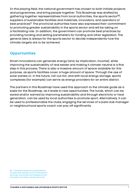In this playing field, the national government has chosen to both initiate projects and programmes, and bring people together. This Roadmap was drafted by gathering together representatives from local authorities, the sports sector<sup>[4]</sup>, suppliers of sustainable facilities and materials, innovators, and operators of best practices<sup>3</sup>. The provincial authorities have also expressed their commitment to promoting greater sustainability in the sports sector and will be taking on a facilitating role. In addition, the government can promote best practices by providing funding and setting parameters for funding and other legislation. The general idea is always for the sports sector to decide independently how the climate targets are to be achieved.

#### **Opportunities**

Smart innovations can generate energy (and, by implication, income), while improving the sustainability of real estate and making it climate-neutral is a first step in this process. There is also a massive amount of space available for this purpose, as sports facilities cover a huge amount of space. Through the use of solar panels or, in the future, roll-out foil, and with local energy storage, sports complexes (for example) can serve as energy providers for an entire district.

The partners in this Roadmap have used this approach to the climate goals as a basis for the Roadmap, as it leads to new opportunities. The funds, which can be saved and/or earned by improving sustainability and through electricity or heat generation, can be used by local authorities to promote sport. Alternatively, it can be used to professionalize the clubs; engaging the services of a paid club manager or neighbourhood sports coach can pay off significantly.

<sup>[4]</sup> 'Commercial sports organizations' include all providers of for-profit sports services, e.g. fitness centres/gyms and providers of outdoor sports services.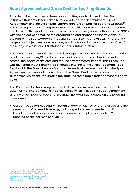#### **Sport Agreement and Green Deal for Sporting Grounds**

In order to be able to seize these opportunities, we also looked at two Dutch initiatives that are closely linked to this Roadmap: the Sportakkoord (Sport Agreement)<sup>4</sup> and the Green Deal Sportvelden (Green Deal for Sporting Grounds<sup>5</sup>). The Sport Agreement is integrated into the coalition agreement and was entered into between the sports sector, the business community, local authorities and NGOs with the objective of making the organization and finances of sports viable for the future. The Sport Agreement is valid from 2018 to the end of 2021 . A total of six targets and objectives have been set, which are valid for the same dates. One of these objectives is called 'Sustainable Sports Infrastructure'.

The Green Deal for Sporting Grounds is designed to ban the use of crop protection products (pesticides)[5] and to reduce biocides on sports pitches in order to protect the health of athletes and reduce environmental impact. This Green Deal was launched in 2015 and will be extended into the terms of this Roadmap – see Section 2.2. The Green Deal for Sporting Grounds will be integrated into the Sport Agreement by means of this Roadmap. The Green Deal also extends to local authorities, which are required to facilitate the sustainable management of sports fields.

This Roadmap for Improving Sustainability in Sport was drafted in response to the Dutch Climate Agreement (Klimaatakkoord), which includes the Sport Agreement and the Green Deal for Sporting Grounds. The Roadmap focuses on the following three areas:

- Carbon reduction, especially through energy-efficiency, energy storage and the generation of renewable energy, including solar energy (see Section 1).
- Use of materials based on circular-economy principles (see Section 2.1).
- Banning pesticides (see Section 2.2).

<sup>[5]</sup> 'Crop protection products' refers to high-risk agents such as regular herbicides, fungicides, insecticides and biocides. Low-risk agents are currently virtually non-existent and also lack **effectiveness**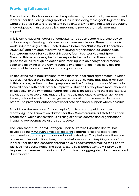#### **Providing full support**

The partners in this Roadmap – i.e. the sports sector, the national government and local authorities – are guiding sports clubs in achieving these goals together. The world of sport is run to a large extent by volunteers, who tend not to be particularly knowledgeable in this area, so it is important to provide them with maximum support.

This is why a national network of consultants has been established, who advise clubs on ways of making their operations more sustainable. These consultants work under the aegis of the Dutch Olympic Committee\*Dutch Sports Federation (NOC\*NSF) and are employed by the following organizations: de Groene Club, Sportstroom, Sport Service Noord Brabant, Team Sportservice and Sport Drenthe. This network may be further expanded in the future. These consultants guide the clubs through an action plan, starting with an energy performance scan and following all the way through to implementation. These services are also provided for commercial sports organizations.

In achieving sustainability plans, they align with local sport agreements, in which local authorities are also involved. Local sports consultants may play a key role in this process, as they can help prepare effective funding proposals. When clubs form alliances with each other to improve sustainability, they have more chances of success. For the immediate future, the focus is on supporting the trailblazers, i.e. the clubs and associations that are intrinsically motivated to work on achieving these goals and which may then generate the critical mass needed to inspire others. The provincial authorities will facilitate additional support where possible.

In addition, the Kennis- en Innovatieplatform Maatschappelijk Vastgoed (Knowledge and Innovation Platform for Non-Commercial Real Estate) has been established, which unites various existing expertise centres and organizations, including representatives of the sports sector.

The Kenniscentrum Sport & Bewegen (Sport & Exercise Expertise Centre) has developed the www.duurzamesportsector.nl platform for sports federations, commercial sports organizations and local authorities. This platform will include a number of useful action plans, practical information and inspiring stories from local authorities and associations that have already started making their sports facilities more sustainable. The Sport & Exercise Expertise Centre will provide a helpdesk and ensure that data and information are aggregated, documented and disseminated.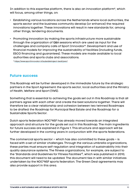In addition to this expertise platform, there is also an innovation platform\*, which will focus, among other things, on:

- Establishing various locations across the Netherlands where local authorities, the sports sector and the business community develop (or enhance) the required innovations together. These innovations will result in new standards for, among other things, tendering documents.
- Promoting innovation by making the sports infrastructure more sustainable through the organization of Q&A sessions which are used as input for the challenges and company calls of Sport Innovator\*. Development and use of financial models for improving the sustainability of facilities (including funds, ESCO financing and guarantees). These models are made available to local authorities and sports clubs and associations.

\* https://www.sportinnovator.nl/subsidietraject-bedrijven/

#### **Future success**

This Roadmap will be further developed in the immediate future by the strategic partners in the Sport Agreement: the sports sector, local authorities and the Ministry of Health, Welfare and Sport (VWS).

Something that is essential to achieving the goals set out in this Roadmap is that all partners agree with each other and create the best solutions together. There will therefore be a clear relationship and cohesion between two twinned Roadmaps to be drafted: the Roadmap for Municipal Real Estate and the Roadmap for a Sustainable Sports Sector.

Dutch sports federation NOC\*NSF has already moved towards an integrated approach and structure for the goals set out in this Roadmap. The main ingredients for future success are explained in Figure 1. This structure and approach will be further developed in the coming years in conjunction with the sports federations.

The commercial sports sector – which has also committed to these goals – is faced with a set of similar challenges. Through the various umbrella organizations, these parties must ensure self-regulation and integration of sustainability into their quality assurance systems. The fitness organizations, for example, are subject to the 'Standards and Guidelines for Fitness Facilities'<sup>6</sup>, which was published in 2010; this document will need to be updated. The document ties in with similar initiatives undertaken by the NOC\*NSF sports federation. The Green Deal agreements may also provide support in this area.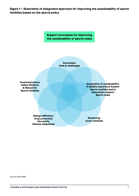**Figure 1 – Illustration of integrated approach for improving the sustainability of sports facilities based on the sports policy**

> **Support processes for improving the sustainability of sports clubs**

> > **Innovation: Calls & challenges**

**Communications: Online Platform & Manual for Sports Facilities**

**Integration of sustainability: in Quality Assurance System Sports facilities and in association support Sports clubs**

**Energy-efficiency Crop protection Circularity Climate adaptation**

**Monitoring: local > national**

Source: NOC\*NSF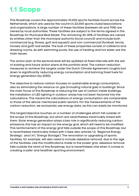### <span id="page-11-0"></span>**1.1 Scope**

This Roadmap covers the approximately 10,000 sports facilities found across the Netherlands, which are used by the country's 22,000 sports clubs/associations and organizations. A large number of these facilities (between 60 and 70%) are owned by local authorities. These facilities are subject to the terms agreed in the Roadmap for Municipal Real Estate. The remaining 30-40% of facilities are owned by entities other than the municipal authority (local council) and include both commercial (e.g. fitness, golf and squash) and non-commercial (football, tennis, hockey and golf) real estate. The bulk of these properties consist of cafeteria and dressing rooms. As with swimming pools, the use of heating and hot water are the main issues.

The action plan at the sectoral level will be updated at fixed intervals with the aid of existing and future action plans at the portfolio level. The carbon reduction measures to achieve the targets under the Dutch Climate Agreement roughly boil down to significantly reducing energy consumption and banning fossil fuels for energy generation (by 2050).

The objective to reduce carbon focuses on sustainable energy consumption, also by eliminating the reliance on gas (including natural gas) in buildings. Since the main focus of this Roadmap is reducing the use of carbon inside buildings, the installation of LED lighting in outdoor areas has not been factored into the calculations. This means the calculations of energy consumption are comparable to those of the above-mentioned public sectors. For the measurements of the carbon reduction, we exclusively use energy data, as this can easily be monitored.

This target/objective touches on a number of challenges which fall outside of the scope of this Roadmap, but which are nevertheless inextricably linked with them. Solar energy generation plays a key role in significantly reducing carbon emissions; this has an impact on the energy grid, which will need to be modified. This reinforcement of the energy grid falls outside the scope of this Roadmap, but is nevertheless inextricably linked with it (see also articles 1.2, 'Regional Energy Strategy', and 1.4.1, 'Energy Storage'). The renovation or upgrading of sports facilities, for example, will also need to include asbestos removal, due to the age of the facilities. Like the modifications made to the power grid, asbestos removal falls outside the remit of this Roadmap, but is nevertheless vital when it comes to creating a safer and healthier sporting environment.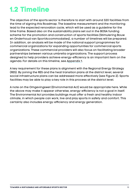### <span id="page-12-0"></span>**1.2 Timeline**

The objective of the sports sector is therefore to start with around 320 facilities from the time of signing this Roadmap. The baseline measurement and the monitoring lead to the expected renovation cycle, which will be used as a guideline for the time frame. Based also on the sustainability plans set out in the BOSA funding scheme for the promotion and construction of sports facilities (Stimulering Bouw en Onderhoud van SportAccommodaties), a number of timelines will be prepared. In addition, an analysis will be made of the national support programmes for commercial organizations for expanding opportunities for commercial sports organizations. These commercial providers will also focus on facilitating broader partnerships between various umbrella organizations. The support process designed to help providers achieve energy-efficiency is an important item on the agenda. For details on this timeline, see [Appendix 1.](#page-44-0)

A key requirement for these plans is alignment with the Regional Energy Strategy (RES). By joining the RES and the heat transition plans at the district level, several social infrastructure plans can be addressed more effectively (see Figure 2). Sports facilities may be able to play a key role in this process at the district level.

A note on the Omgevingswet (Environmental Act) would be appropriate here. While the above may make it appear otherwise, energy-efficiency is not a goal in itself. The Environmental Act provides buildings must offer a fresh and healthy indoor climate, in which people can work, live and play sports in safety and comfort. This certainly also includes energy-efficiency and energy generation.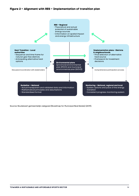#### **Figure 2 – Alignment with RES – Implementation of transition plan**



Source: Routekaart gemeentelijk vastgoed (Roadmap for Municipal Real Estate) (2019).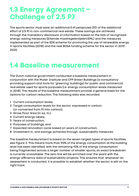### <span id="page-14-0"></span>**1.3 Energy Agreement – Challenge of 2.5 PJ**

The sports sector must save an additional 0.41 petajoules (PJ) of the additional effort of 2.5 PJ in non-commercial real estate. These savings are achieved through the mandatory disclosure of information based on the lists of recognized energy-saving measures (Erkende maatregelenlijsten/EML) and the measures implemented as part of the EDS scheme for promoting the use of renewable energy in sports facilities (2018) and the new BOSA funding scheme for the sector in 2019- 2020.

### **1.4 Baseline measurement**

The Dutch national government conducted a baseline measurement in conjunction with the Mulier Institute and CFP Green Buildings (a consultancy providing support and tools for 'greening' buildings) for public and commercial real estate used for sports purposes (i.e. energy consumption levels measured in 2018). The results of this baseline measurement provide a general basis for the options for carbon reduction. The following data was recorded:

- 1 Current consumption levels;
- 2 Target consumption levels for the sector, expressed in carbon (or converted from PJ into carbon);
- 3 Gross Floor Area (in sq. m.);
- 4 Current energy labels;
- 5 Years of construction;
- 6 Purposes of buildings; and
- 7 Expected renovation cycle based on years of construction;
- 8 Investment in, and savings achieved through, sustainability measures.

The baseline measurement is based on the seven largest types of sports facilities; see Figure 3. This means more than 90% of the energy consumption at the building level has been identified, with the remaining 10% of the energy consumption being fragmented across a larger number of smaller sports; an exact breakdown is currently unavailable. The zero line will be enriched over the years with the energy-efficiency data of sustainability projects. This ensures that, whenever an assessment is conducted, it is possible to establish whether the sector is still on the right track.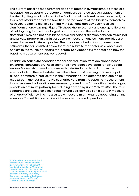The current baseline measurement does not factor in gymnasiums, as these are not classified as sports real estate. In addition, as noted above, replacement of the field lighting is not included in the final data of the baseline measurement, as this is not officially part of the facilities. For the owners of the facilities themselves, however, replacing old field lighting with LED lights can obviously result in significant energy savings. Figure 7B shows the investment and energy-efficiency of field lighting for the three largest outdoor sports in the Netherlands. Note that it was also not possible to make a precise distinction between municipal and private property in this initial baseline measurement, as many facilities are owned by several different parties. The ratios described in this document are estimates; the values listed below therefore relate to the sector as a whole and not just to the municipal sports real estate. See [Appendix 3](#page-57-0) for details on how the baseline measurement was conducted.

In addition, four extra scenarios for carbon reduction were developed based on energy consumption. These scenarios have been developed for all 12 social sectors $[6]$  – for which roadmaps were also drafted in order to improve the sustainability of the real estate – with the intention of creating an inventory of all non-commercial real estate in the Netherlands. The outcome and choice of measures in the four alternative scenarios vary from the baseline measurement; this is because the baseline measurement, based on a future without natural gas, reveals an optimum pathway for reducing carbon by up to 95% by 2050. The four scenarios are based on eliminating natural gas, as well as on a certain measure of energy-efficiency. The most suitable measure might change depending on the scenario. You will find an outline of these scenarios in [Appendix 4](#page-61-0).

[6] These 12 non-commercial real estate sectors include: National government/Provincial authorities/ local authorities/Police/Education: Universities/Universities of applied sciences/Senior secondary vocational education/Primary education/ Secondary education/Healthcare services (Care + Cure)/Sport/ Landmark/listed buildings.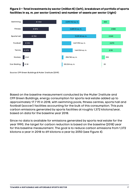**Figure 3 – Total investments by sector (million €) (left), breakdown of portfolio of sports facilities in sq. m. per sector (centre) and number of assets per sector (right)**



Source: CFP Green Buildings & Mulier Institute (2019).

Based on the baseline measurement conducted by the Mulier Institute and CFP Green Buildings, energy consumption for sports real estate added up to approximately 17.7 PJ in 2018, with swimming pools, fitness centres, sports hall and football (soccer) facilities accounting for the bulk of this consumption. This puts carbon emissions generated by sports facilities at roughly 1,372 kilotons/year, based on data for the baseline year 2018.

Since no data is available for emissions generated by sports real estate for the year 1990, the target for carbon reduction is based on the baseline (2018) year for this baseline measurement. The goal is to reduce carbon emissions from 1,372 kilotons a year in 2018 to 69 kilotons a year by 2050 (see Figure 4).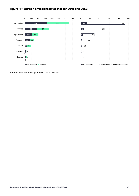

#### **Figure 4 – Carbon emissions by sector for 2018 and 2050.**

Source: CFP Green Buildings & Mulier Institute (2019).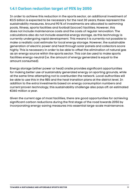#### <span id="page-18-0"></span>**1.4.1 Carbon reduction target of 95% by 2050**

In order to achieve this reduction in the sports sector, an additional investment of €3.5 billion is expected to be necessary for the next 30 years; these represent the sustainability measures. Around 90 % of investments are allocated to swimming pools, fitness, sports facilities and football (soccer) facilities. However, this does not include maintenance costs and the costs of regular renovation. The calculations also do not include essential energy storage, as this technology is currently undergoing rapid development. This means it is currently not possible to make a realistic cost estimate for local energy storage. However, the sustainable generation of electric power and heat through solar panels and collectors score highly. This is necessary in order to be able to offset the elimination of natural gas as an energy source within the sports sector. This can be used to make sports facilities energy-neutral (i.e. the amount of energy generated is equal to the amount consumed).

Energy storage (either power or heat) onsite provides significant opportunities for making better use of sustainably generated energy on sporting grounds, while at the same time attempting not to overburden the network. Local authorities will be able to use this in the RES and the heat transition plans at the district level. In addition to the extra investments based on energy consumption numbers and current proven technology, this sustainability challenge also pays off: an estimated €360 million a year.

Given the current age of most facilities, there are good opportunities for achieving significant carbon reductions during the first stage of the road towards 2050 by incorporating energy-saving measures into essential large-scale maintenance.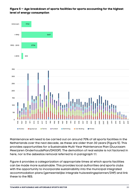#### **Figure 5 — Age breakdown of sports facilities for sports accounting for the highest level of energy consumption**



Maintenance will need to be carried out on around 70% of all sports facilities in the Netherlands over the next decade, as these are older than 30 years (Figure 5). This provides opportunities for a Sustainable Multi-Year Maintenance Plan (Duurzaam Meerjaren OnderhoudsPlan/DMJOP). The demolition of real estate is not factored in here, nor is the asbestos removal referred to in paragraph 1.1.

Figure 6 provides a categorization of appropriate times at which sports facilities can be made more sustainable. This provides local authorities and sports clubs with the opportunity to incorporate sustainability into the municipal integrated accommodation plans (gemeentelijke integrale huisvestingsplannen/IHP) and link these to the RES.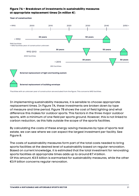#### **Figure 7A – Breakdown of investments in sustainability measures at appropriate replacement times (in million €**).



#### **Year of construction**

\*Facilities with an unknown year of construction are excluded from the figure. This concerns 1692 facilities.

In implementing sustainability measures, it is sensible to choose appropriate replacement times. In Figure 7A, these investments are broken down by type of measure and time period. Figure 7B shows the cost of field lighting and what difference this makes for outdoor sports. This factors in the three major outdoor sports, with a minimum of one field per sports ground. However, this is not linked to carbon reduction, as this falls outside the scope of the sports facilities.

By calculating the costs of these energy-saving measures by type of sports real estate, we can see where we can expect the largest investment per facility. See Figure 8.

The costs of sustainability measures form part of the total costs needed to bring sports facilities at the desired level of sustainability based on regular renovation. Based on current knowledge, it is estimated that the total investment for renovating sports facilities at appropriate times adds up to around €7.4 billion. Of this amount, €3.5 billion is earmarked for sustainability measures, while the other €3.9 billion concerns regular renovation.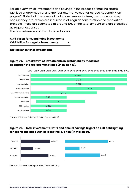For an overview of investments and savings in the process of making sports facilities energy-neutral and the four alternative scenarios, see [Appendix 4](#page-61-0) on page 62. Note that this does not include expenses for fees, insurance, advice/ consultancy, etc., which are incurred in all regular construction and renovation projects. These are estimated at around 10% of the total amount and are classified as regular expenses.

The breakdown would then look as follows:

#### **€3.5 billion for sustainable investments €4.6 billion for regular investments +**

#### **€8.1 billion in total investments**

#### **Figure 7A – Breakdown of investments in sustainability measures at appropriate replacement times (in million €**).



Source: CFP Green Buildings & Mulier Institute (2019).

#### **Figure 7B – Total investments (left) and annual savings (right) on LED field lighting for sports facilities with at least 1 field/pitch (in million €).**



Source: CFP Green Buildings & Mulier Institute (2019).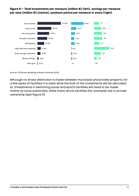#### **Figure 8 — Total investments per measure (million €) (left), savings per measure per year (million €) (centre), payback period per measure in years (right)**



Source: CFP Green Buildings & Mulier Institute (2019).

Although no sharp distinction is made between municipal and private property, for a few types of facilities it is clear what the bulk of the investments will be allocated to. Investments in swimming pools and sports facilities will need to be made mainly by local authorities, while many tennis facilities (for example) are in private ownership (see Figure 9).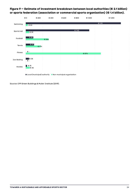



Source: CFP Green Buildings & Mulier Institute (2019).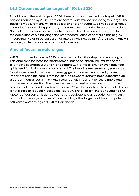#### <span id="page-24-0"></span>**1.4.2 Carbon reduction target of 49% by 2030**

In addition to the end target of 2050, there is also an intermediate target of 49% carbon reduction by 2030. There are several pathways to achieving this target. The baseline measurement, which is based on energy neutrality, as well as alternative scenarios 2, 3 and 4 in [Appendix 4](#page-61-0), generate a 49% reduction in carbon emissions. None of the scenarios outlined factor in demolition. It is possible that, due to the demolition of old buildings and smart construction of new buildings (e.g. by integrating two or three old buildings into a single new building), the investment will be lower, while annual cost savings will increase.

#### **Area of focus: no natural gas**

A 49% carbon reduction by 2030 is feasible if all facilities stop using natural gas. This applies to the baseline measurement based on energy neutrality and the alternative scenarios 2, 3 and 4. In scenario 2, it is important, however, that heat grids used for linking are carbon-neutral. The baseline measurement, scenarios 3 and 4 are based on all-electric energy generation with no natural gas. An important principle here is that the electric power must have been generated on a carbon-neutral basis. This makes solar panels important for sustainable and local energy generation. The baseline measurement is based on appropriate assessment times and therefore concerns 70% of the facilities. The estimated costs for this carbon reduction based on Figure 7A is €1.87 billion, thereby avoiding 673 kilotons of carbon emissions a year; this is equivalent to a reduction of 49%. On account of the large number of older buildings, this target could result in potential estimated cost savings of €190 million a year.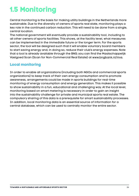### <span id="page-25-0"></span>**1.5 Monitoring**

Central monitoring is the basis for making utility buildings in the Netherlands more sustainable. Due to the diversity of owners of sports real state, monitoring plays a key role in the continued carbon reduction. This will need to be done from a single, central location.

The national government will eventually provide a sustainability tool, including to all other owners of sports facilities. This shows, at the facility level, what measures can be implemented in the immediate future or the longer term. For the sports sector, the tool will be designed such that it will enable voluntary board members to start saving energy and, in doing so, reduce their club's energy expenses. Note that a tool is already available through the BNG; you can find the Maatschappelijk Vastgoed Scan (Scan for Non-Commercial Real Estate) at [www.bngbank.nl/mvs.](http://www.bngbank.nl/mvs.)

#### **Local monitoring**

In order to enable all organizations (including both NGOs and commercial sports organizations) to keep track of their own energy consumption and to promote awareness, arrangements could be made in sports buildings for real-time monitoring of energy consumption and energy generation. This makes it possible to show sustainability in a fun, educational and challenging way. At the local level, monitoring based on smart metering is necessary in order to gain an insight into the sustainability challenge for private and municipal sports real estate. The compulsory sharing of this data is a prerequisite for smart sustainability processes. In addition, local monitoring data is an essential source of information for a central database, which can be used to centrally monitor the entire sector.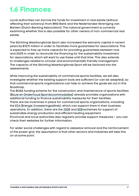### <span id="page-26-0"></span>**1.6 Finances**

Local authorities can borrow the funds for investment in real estate (without affecting their solvency) from BNG Bank and the Nederlandse Vereniging van Banken (Dutch Banking Association). The national government is currently examining whether this is also possible for other owners of non-commercial real estate.

The Stichting Waarborgfonds Sport also increased the warranty capital in recent years by €12.5 million in order to facilitate more guarantees for associations. This is expected to free up more capacity for providing guarantees between now and 2025 in order to reconcile the financing for the sustainability investment for associations, which will want to use these until that time. This also extends to challenges related to circular and environmentally friendly management. The capacity of the Stichting Waarborgfonds Sport will be factored into the assessments.

While improving the sustainability of commercial sports facilities, we will also investigate whether the existing support tools are sufficient (or can be adapted), so that commercial sports organizations can help to achieve the goals set out in this Roadmap.

The BOSA funding scheme for the construction and maintenance of sports facilities ([Bouw en Onderhoud SportAccommodaties](https://www.dus-i.nl/actueel/subsidiekalender/2021/01/01/stimulering-bouw-en-onderhoud-van-sportaccommodaties)) already provides organizations with additional funding to finance sustainability measures for their facilities. There are tax incentives in place for commercial sports organizations, including the [EIA \(Energie Investeringsaftrek\)](https://www.rvo.nl/subsidie-en-financieringswijzer/eia), which can support them in their business operations. In addition, there are the [ISDE](https://www.rvo.nl/subsidie-en-financieringswijzer/isde) and [SDE+](https://www.rvo.nl/subsidie-en-financieringswijzer/sde)schemes for support of sustainable energy production and efficient heating equipment.

Provincial and local authorities also regularly provide support measures – you can check their websites for further information.

For wider social challenges with regard to asbestos removal and the reinforcement of the power grid, the assumption is that other sectors and industries will take this on at some point.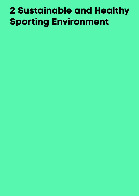# <span id="page-27-0"></span>**2 Sustainable and Healthy Sporting Environment**

- 
- 
- 
- 
- 
- 
- 
- 
-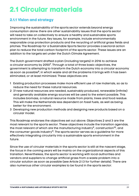### <span id="page-28-0"></span>**2.1 Circular materials**

#### **2.1.1 Vision and strategy**

Improving the sustainability of the sports sector extends beyond energy consumption alone: there are other sustainability issues that the sports sector will need to take on collectively to ensure a healthy and sustainable sports environment in the future. Key issues, for example, include environmentally responsible crop protection products and the recycling of artificial grass fields and pitches. The Roadmap for a Sustainable Sports Sector provides a sectoral action plan to reduce the total carbon footprint of the sports sector. These issues are an addition to the targets set under the Dutch Climate Agreement.

The Dutch government drafted a plan (including targets) in 2016 to achieve a circular economy by 20507. Through a total of three basic objectives, the government is attempting to transform the Dutch economy into a circular economy as soon as possible<sup>8</sup>, in which waste and all the problems it brings with it has been eliminated, or at least minimized. These objectives are:

- 1 Existing production processes make more efficient use of raw materials, so as to reduce the need for these natural resources.
- 2 If new natural resources are needed, sustainably produced, renewable (infinite) and generally available energy sources will be used to the extent possible. This includes biomass, a natural resource made from plants, trees and food residue. This will make the Netherlands less dependent on fossil fuels, as well as being better for the environment.
- 3 Developing new production methods and designing new products based on a circular model.

This Roadmap endorses the objectives set out above. Objectives 2 and 3 are the most relevant to the sports sector. These objectives include the transition agendas, the most relevant of which are the manufacturing industry<sup>9</sup>, construction<sup>10</sup>, and the consumer goods industry<sup>11</sup>. The sports sector serves as a quideline for more effectively integrating circularity into a sustainable sports environment in the future.

Since the use of circular materials in the sports sector is still at the nascent stage, the focus in the coming years will be mainly on the organizational aspects of this transition. Nevertheless, the sports sector is working with local authorities and vendors and suppliers to change artificial grass from a waste problem into a circular solution as soon as possible (see Article 2.1.3 for further details). There are also numerous other circular examples to be found in the sports sector.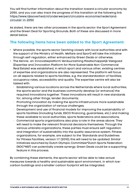You will find further information about the transition toward a circular economy by 2050, and you can also track the progress of this transition at the following link: [https://www.rijksoverheid.nl/onderwerpen/circulaire-economie/nederland](https://www.rijksoverheid.nl/onderwerpen/circulaire-economie/nederland-circulair-in-2050)[circulair-in-2050](https://www.rijksoverheid.nl/onderwerpen/circulaire-economie/nederland-circulair-in-2050)

As stated, there are two other processes in the sports sector: the Sport Agreement and the Green Deal for Sporting Grounds. Both of these are discussed in more detail below.

#### **The following items have been added to the Sport Agreement:**

- Where possible, the sports sector (working closely with local authorities and with the support of the Ministry of Health, Welfare and Sport) will take the initiative through self-regulation, either enhanced by Green Deals or otherwise;
- The Kennis- en Innovatieplatform Verduurzaming Maatschappelijk Vastgoed (Expertise and Innovation Platform for More Sustainable Non-Commercial Real Estate) was established, in which sport and various other, existing centres of expertise and organizations are also represented. The platform will focus on all aspects related to sports facilities, e.g. the standardization of facilities, occupancy rates, accessibility and quality. The expertise centre will also be tasked with:
	- $\cdot$  Establishing various locations across the Netherlands where local authorities, the sports sector and the business community develop (or enhance) the required innovations together. These innovations will result in new standards for, among other things, tender documents;
	- Promoting innovation by making the sports infrastructure more sustainable through the organization of various challenges;
	- · Development and use of financial models for improving the sustainability of sports facilities (including funds, ESCO financing, guarantees, etc.) and making these available to local authorities, sports federations and associations;
	- · Commercial sports organizations also play a role in the areas above. They will need to make the relevant financial decisions themselves. Through the various umbrella organizations, these parties must ensure self-regulation and integration of sustainability into the quality assurance system. Fitness organizations, for example, are subject to the 'Standards and Guidelines for Fitness Facilities, version 1.1' (2010); this will need to be updated. Similar initiatives launched by Dutch Olympic Committee\*Dutch Sports Federation (NOC\*NSF) can potentially create synergy. Green Deals could be a supporting feature in this process.

By combining these elements, the sports sector will be able to take actual measures towards a healthy and sustainable sport environment, in which lowcarbon buildings and a smaller carbon footprint will be integrated.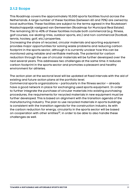#### <span id="page-30-0"></span>**2.1.2 Scope**

This Roadmap covers the approximately 10,000 sports facilities found across the Netherlands. A large number of these facilities (between 60 and 70%) are owned by local authorities. These facilities are subject to the terms agreed in the Routekaart Maatschappelijk vastgoed van Gemeenten (Roadmap for Municipal Real Estate). The remaining 30 to 40% of these facilities include both commercial (e.g. fitness, golf courses, ice-skating rinks, outdoor sports, etc.) and non-commercial (football, tennis, hockey, golf, etc.) properties.

Increasing the share of recycled, circular materials and sporting equipment provides major opportunities for solving waste problems and reducing carbon footprint in the sports sector, although it is currently unclear how this can be monitored using reliable and verifiable methods. The potential for carbon reduction through the use of circular materials will be further developed over the next several years. This addresses two challenges at the same time: it reduces carbon footprint in the sports sector and promotes a pleasant and healthy environment for athletes.

The action plan at the sectoral level will be updated at fixed intervals with the aid of existing and future action plans at the portfolio level.

Commercial sports organizations – particularly in the fitness sector – already have a good network in place for exchanging used sports equipment. In order to further integrate the purchase of circular materials into existing purchasing procedures, the requirements for recycled materials in new equipment must be further developed. This is based on alignment with the transition agenda of the manufacturing industry. The plan to use recycled materials in sports buildings is consistent with the transition agenda for the [construction industry. As with](http://bouw.Net) the carbon reduction for energy, circularity in the sports sector will be based on cooperation with other entities<sup>12</sup>, in order to be able to also handle these challenges as well.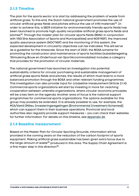#### <span id="page-31-0"></span>**2.1.3 Timeline**

The plan for the sports sector is to start by addressing the problem of waste from artificial grass. To this end, the Dutch national government promotes the use of circular artificial grass fields and pitches without the use of infill materials<sup>13</sup>. In order to achieve this, a SBIR initiative for environmentally friendly sports fields has been launched to promote high-quality recyclable artificial grass sports fields and pitches14. Through the master plan for circular sports fields (BSNC in conjunction with VSG [the Association of Sports and Municipalities] and NOS\*NSF), the improved quality assurance system (NOC\*NSF) and the monitoring of this system, the expected development in circularity objectives can be indicated. This will serve as a guideline for the timescale. Since the start of 2021, the BOSA scheme for promoting the construction and maintenance of sports facilities (subsidieregeling 'Stimulering Bouw en Onderhoud van SportAccommodaties) includes a category that provides for the promotion of circular materials.

The national government has launched an investigation into potential sustainability criteria for circular purchasing and sustainable management of artificial grass sports fields and pitches, the results of which must lead to a more balanced promotion through the BOSA and other relevant funding programmes. This investigation can also provide input for a baseline measurement (Article 2.1.4). Commercial sports organizations will start by investing in more far-reaching cooperation between umbrella organizations, where circular-economy principles will be a key item on the agenda. Another area of focus is the national support programmes for commercial sports organizations. The options available for this group may possibly be extended. It is already possible to use, for example, the [MIA/Vamil \(Milieu Investeringsregelingen \[Environmental Investment Schemes\]\),](http://www.rvo.nl/subsidie-en-financieringswijzer/miavamil) which can support them in their business operations. Provincial and local authorities also regularly provide support measures – you can check their websites for further information. For details on this timeline, see [Appendix 2A.](#page-49-0)

#### **2.1.4 Baseline measurement**

Based on the Master Plan for Circular Sporting Grounds, information will be provided in the coming years on the reduction of the carbon footprint of sports equipment. Making artificial grass sustainable has been given extra focus due to the large amount of waste<sup>15</sup> produced in this area. The Supply Chain Agreement is a first major step in this direction<sup>16</sup>.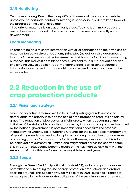#### <span id="page-32-0"></span>**2.1.5 Monitoring**

Central monitoring. Due to the many different owners of the sports real estate across the Netherlands, central monitoring is necessary in order to keep track of the progress of the use of circularity.

Circularity of materials is only at an early stage. Tools to learn more about the use of these materials and to be able to monitor this use are currently under development.

#### **Local monitoring**

In order to be able to share information with all organizations on their own use of materials based on circular-economy principles (as well as raise awareness on this topic), measures should be implemented inside sports facilities for monitoring purposes. This makes it possible to show sustainability in a fun, educational and challenging way. In addition, local monitoring data is an essential source of information for a central database, which can be used to centrally monitor the entire sector.

### **2.2 Reduction in the use of crop protection products**

#### **2.2.1 Vision and strategy**

Since the objective is to improve the health of sporting grounds across the Netherlands, the priority is to ban the use of crop protection products on natural grass. The reduction of biocides on artificial grass, which is occurring at the initiative of the stakeholders and is supported by innovation programmes launched by the national government, is both important and necessary. The process initiated by the Green Deal for Sporting Grounds for the sustainable management of sporting grounds has resulted in a plan to ban crop protection products from all sporting grounds/outdoor sports facilities. However, ideas on how this is to be achieved are currently still limited and fragmented across the sports sector. It is important that people become aware of the risk more quickly, as – with the exception of golf – this has fallen by the wayside in recent years.

#### **2.2.2 Scope**

Through the Green Deal for Sporting Grounds (GDS), various organizations are committed to eliminating the use of crop protection products on and around sporting grounds. This Green New Deal will expire in 2021 , but since it relates to terms agreed in the Roadmap, the obligation of the sustainable management of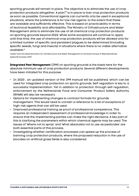sporting grounds will remain in place. The objective is to eliminate the use of crop protection products altogether. A plan<sup>17</sup> is in place to ban crop protection products as soon as possible. Conventional agents can currently only be used in exceptional situations, where the preference is for low-risk agents, to the extent that these are available and sufficiently effective. This is based on practicability in terms of technical feasibility and affordability. The Ministry of Infrastructure and Water Management aims to eliminate the use of all chemical crop protection products on sporting grounds beyond 2022. While some exceptions will continue to apply until that time, the use of chemical crop protection products will be allowed only for a limited number of specific and persistent plagues to be determined (including specific weeds, fungi and insects) in situations where there is no viable alternative available.\*

\*Letter from the State Secretary for Infrastructure and Water Management to the Dutch House of Representatives dated 25 October 2019

**Integrated Pest Management** (IPM) on sporting grounds is the basis here for the absolute minimum use of crop protection products. Several different developments have been initiated for this purpose:

- In 2020 , an updated version of the IPM manual will be published, which can be used for integrated crop protection on sports grounds. Self-regulation is key to a successful implementation. Yet in addition to protection through self-regulation, enforcement by the Netherlands Food and Consumer Product Safety Authority (NVWA) will also be necessary.
- Options for implementing changes to contract formats for grounds management. This would need to contain a reference to a list of exceptions of high-risk agents that can still be used.
- Improved professional training as proof of professional competence. This requires an independent assessment of professional knowledge in order to ensure that the implementing parties can make the right decisions. A key part of this is clarifying the parameters within which chemical agents may be used. The issues of 'Where not to spray' and 'What absolutely not to use as pesticides' are both essential parts of this process.
- Investigating whether certification processes can speed up the process of banning crop protection products, where the proposed reduction in the use of biocides on artificial grass fields is also considered.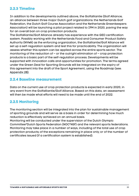#### <span id="page-34-0"></span>**2.2.3 Timeline**

In addition to the developments outlined above, the Golfalliantie (Golf Alliance; an alliance between three major Dutch golf organizations: the Netherlands Golf Federation, the Dutch Golf Course Association and the Netherlands Greenkeepers Association) will be launching a pilot project related to IPM in 2020, paving the way for an overall ban on crop protection products.

The Golfalliantie/Golf Alliance already has experience with the GEO certification system. Possibly working with the Netherlands Food and Consumer Product Safety Authority (NVWA) as the enforcing organization, the Golfalliantie/Golf Alliance will set up a self-regulation system and test this for practicability. The organization will assess whether this system can be applied across the entire sports sector. The monitoring of the reduction of – or the outright elimination of – crop protection products is a basic part of the self-regulation process. Developments will be supported with innovation calls and opportunities for promotion. The terms agreed under the Green Deal for Sporting Grounds will be integrated on the expiry of this agreement into the draft of the Sport Agreement, using the Roadmap (see: [Appendix 2B\).](#page-54-0)

#### **2.2.4 Baseline measurement**

Data on the current use of crop protection products is expected in early 2020, in any event from the Golfalliantie/Golf Alliance. Based on this data, an assessment will then be made what efforts will need to be made until the end of 2022.

#### **2.2.5 Monitoring**

The monitoring section will be integrated into the plan for sustainable management of sporting grounds and will serve as a basis in order for determining how much reduction is effectively achieved on an annual basis.

Monitoring will be conducted under the supervision of the Dutch Olympic Committee\*Dutch Sports Federation (NOC\*NSF) and the relevant sports federations. Monitoring may take place in a number of ways, including of the total use of crop protection products; of the exceptions remaining in place only; or of the number of certificates issued (if a certification system is established).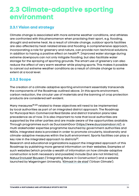### <span id="page-35-0"></span>**2.3 Climate-adaptive sporting environment**

#### **2.3.1 Vision and strategy**

Climate change is associated with more extreme weather conditions, and athletes are confronted with this phenomenon when practising their sport, e.g. flooding, drought and extreme heat. As a result of climate change, outdoor sports facilities are also affected by heat-related stress and flooding. A comprehensive approach, incorporating a role for greenery and nature, can provide non-technical solutions in addition to having a positive effect on health $18$ . Improved water storage during extreme downpours can not only mitigate flooding, but also facilitate water storage for the spraying of sporting grounds. The smart use of greenery can also reduce the effect of very warm weather while playing sports. This makes it possible to cancel out extreme weather conditions as a result of climate change to some extent at a local level.

#### **2.3.2 Scope**

The creation of a climate-adaptive sporting environment essentially transcends the components of the Roadmap outlined above. In this sports environment, carbon reduction, the circular use of materials and the banning of crop protection products are considered self-evident.

Many measures<sup>19,20</sup> related to these objectives will need to be implemented by local authorities as part of an integrated district approach. The Roadmap for Municipal Non-Commercial Real Estate and district transition plans take precedence as of now. It is also important to note that local authorities are supported by the other parties and are made aware of the opportunities available. Through programmes such as DuurzaamDoor [\(https://www.duurzaamdoor.nl/\),](https://www.duurzaamdoor.nl/),) a multi-stakeholder expertise programme launched by government authorities and NGOs, integrated data is provided in order to promote circularity, biodiversity and climate-adaptive measures within the built environment. Sports facilities can play a key role in the integrated approach to districts21.

Research and educational organizations support the integrated approach of this Roadmap by publishing more general information on their websites. Examples of such websites (which provide a wealth of information on how climate-adaptive construction is both necessary and possible) include (but are not limited to) [NatuurInclusief Bouwen](https://bouwnatuurinclusief.nl) ('Integrating Nature in Construction') and a website launched by Wageningen University, '[Klimaat in de stad'](https://www.wur.nl/nl/Dossiers/dossier/klimaatindestad.htm) ('Urban Climate').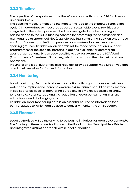## **2.3.3 Timeline**

The objective of the sports sector is therefore to start with around 320 facilities on an annual basis.

The baseline measurement and the monitoring lead to the expected renovation cycle. Climate-adaptive measures as part of sustainable sports facilities are integrated to the extent possible. It will be investigated whether a category can be added to the BOSA funding scheme for promoting the construction and maintenance of sports facilities (subsidieregeling 'Stimulering Bouw en Onderhoud van SportAccommodaties') that provides for climate-adaptive measures on sporting grounds. In addition, an analysis will be made of the national support programmes for the specific increase in options available for commercial sports organizations. It is already possible to use, for example, the [MIA/Vamil](https://www.rvo.nl/miavamil)  [\(Environmental Investment Schemes\),](https://www.rvo.nl/miavamil) which can support them in their business operations.

Provincial and local authorities also regularly provide support measures – you can check their websites for further information.

## **2.3.4 Monitoring**

Local monitoring. In order to share information with organizations on their own water consumption (and increase awareness), measures should be implemented inside sports facilities for monitoring purposes. This makes it possible to show, for example, water storage and the reduction of water consumption in a fun, educational and challenging way.

In addition, local monitoring data is an essential source of information for a central database, which can be used to centrally monitor the entire sector.

### **2.3.5 Finances**

Local authorities will be the driving force behind initiatives for area development $^{22}$ . The funding of these projects aligns with the Roadmap for Municipal Real Estate and integrated district approach within local authorities.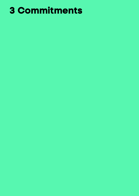# **3 Commitments**

- 
- -
- -
	-
-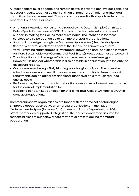All stakeholders must become and remain active in order to achieve desirable and necessary results together so the transition of national commitments into local commitments can be ensured. It is particularly essential that sports federations receive full support. Examples:

- A national network of consultants directed by the Dutch Olympic Committee\* Dutch Sports Federation (NOC\*NSF), which provides clubs with advice and support in making their clubs more sustainable. The intention is for these services to also be opened up to commercial sports organizations.
- Sharing knowledge through the Duurzame Sportsector ('SustainableSports Sector') platform, which forms part of the Kennis- en Innovatieplatform Verduurzaming Maatschappelijk Vastgoed (Knowledge and Innovation Platform for More Sustainable Non-Commercial Real Estate): [www.duurzamesportsector.nl](https://www.duurzamesportsector.nl)
- The obligation to link energy-efficiency measures to a 'free' energy scan. However, it is unclear whether this is also possible in conjunction with the duty-ofdisclosure reports.
- Cost assurance through BNG/Stichting Waarborgfonds Sport. The objective is for these loans not to result in an increase in contributions. Premiums and repayments can be paid from additional funds available through reduced energy costs.
- Performance/Service contracts: installation companies will remain responsible for the correct implementation for a specific period. A key condition for this is the Total Cost of Ownership (TCO) in contract negotiations.

Commercial sports organizations are faced with the same set of challenges. Improved cooperation between umbrella organizations in the [Platform](https://www.ondernemendesportaanbieders.nl)  [Ondernemende Sport](https://www.ondernemendesportaanbieders.nl) (Platform for Commercial Sports Organizations; POS) offers more widely supported integration. The parties concerned assume the responsibilities set out below, where they are expressly looking for mutual cooperation.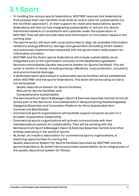## **3.1 Sport**

- In funding the various sports federations, NOC\*NSF requires that federations that possess their own facilities must draft an action plan for sustainability (i.e. the 'portfolio approach'). In their support for clubs and associations, sports federations will also be fully integrating sustainability or will join the abovementioned network of consultants who operate under the supervision of NOC\*NSF. They will also provide data and information on innovation issues in the coming year.
- The sports sector will work with local authorities to align all available information related to energy efficiency, storage and generation (including smart meters and previously implemented measures) with the government-wide system for information provision.
- NOC\*NSF and the Dutch sports federations will include sustainability as an integrated part of the optimization process of the Kwaliteitszorgsysteem Sportaccommodaties (Quality Assurance System for Sports Facilities). This will cover a variety of areas, including energy-efficiency, crop protection, circularity, and environmental damage.
- A dedicated team specialized in sustainable sports facilities will be established within NOC\*NSF and the sports federations. This team will be focusing on (list is not exhaustive):
	- · Quality Assurance System for Sports Facilities;
	- · Manual for Sports Facilities; and
	- · Comprehensive sustainability.
- The Kenniscentrum Sport & Bewegen (Sport & Exercise Expertise Centre) forms an active part of the Kennis en Innovatieplatform Verduurzaming Maatschappelijk Vastgoed (Expertise and Innovation Platform for More Sustainable Non-Commercial Real Estate).
- Commercial sports organizations will facilitate support projects as part of a broader cooperative relationship.
- Commercial sports organizations will actively communicate with their membersabout options for sustainability. They will be working with the Kenniscentrum Sport & Bewegen (Sport & Exercise Expertise Centre) and other entities operating in the world of sports.
- NL Actief, an industry association for commercial sports organizations, is exploring opportunities for joining the Quality Assurance System For Sports Facilities launched by NOC\*NSF and the sports federations. NL Actief has incorporated sustainability as an integral part of the quality assurance system for fitness.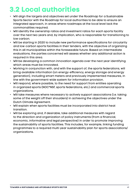## **3.2 Local authorities**

- Will align the targets and objectives set under the Roadmap for a Sustainable Sports Sector with the Roadmap for local authorities to be able to ensure an integrated approach, in areas where roadmaps at the local level lack the commonalities required.
- Will identify the ownership ratios and investment ratios for each sports facility over the next two years and, by implication, who is responsible for transitioning to low carbon.
- Will be starting in 2020 to include new performance specifications for circularity and low-carbon sports facilities in their tenders, with the objective of organizing this in all municipalities within the foreseeable future. Based on intermediate evaluations, the parties concerned will assess whether any additional action is required in this area.
- Will be developing a common innovation agenda over the next year identifying which areas must be innovated.
- Working in conjunction with, and with the support of, the sports federations, will bring available information (on energy-efficiency, energy storage and energy generation), including smart meters and previously implemented measures, in line with the government-wide system for information provision.
- Will respond, where possible, to the need for support from entities operating in organized sports (NOC\*NSF, sports federations, etc.) and commercial sports organizations.
- Will take measures where necessary to actively support associations (i.e. taking some of the weight off their shoulders) in achieving the objectives under the Dutch Climate Agreement.
- Will explain when sports facilities must be incorporated into district heat transition.
- Will be exploring and, if desirable, take additional measures with regard to the direction and organization of policy instruments (from a financial, economic, informative and legal perspective) in order to promote improving the sustainability of sports facilities. This includes, for example, linking funding programmes to a required multi-year sustainability plan for sports associations/ organizations.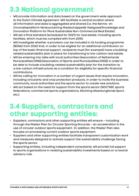## **3.3 National government**

- Will provide information and data based on the government-wide approach to the Dutch Climate Agreement. Will facilitate a central location where all information and data is aggregated and shared (i.e. the Kennis- en Innovatieplatform Verduurzaming Maatschappelijk Vastgoed/Knowledge and Innovation Platform for More Sustainable Non-Commercial Real Estate).
- Will set a final standard (scheduled for 2021) for real estate, including sports facilities, which must be complied with from 2050.
- Will investigate whether a provision can be included in its funding programme (BOSA) from 2022 that, in order to be eligible for an additional contribution on top of the basic financial support, recipients must (for example) have a buildingrelated sustainability plan in place for transitioning to low-carbon real estate.
- Will be entering into talks with local authorities (Association of Netherlands Municipalities [VNG]/Association of Sports and Municipalities [VSG]) in order to be able to include a building-related sustainability plan for the transition to a low-carbon infrastructure as a condition for eligibility for specific financial contributions.
- Will be calling for innovation in a number of urgent issues that require innovation, including circularity and crop protection products, in order to incite the business community, local authorities and the sports sector to create new solutions.
- Will act based on the need for support from the sports sector (NOC\*NSF, sports federations, commercial sports organizations, Stichting Waarborgfonds Sport, etc.).

## **3.4 Suppliers, contractors and other supporting entities:**

- Suppliers, contractors and other supporting entities will ensure including through the Master Plan for Circular Sporting Grounds – an acceleration in the use of circular outdoor sports equipment. In addition, the Master Plan also focuses on processing current outdoor sports equipment.
- Suppliers and other supporting entities facilitate transparent customization work and measures designed to actively support the sustainability challenge facing the sports sector.
- Supporting entities, including independent consultants, will provide full support to sports organizations in realizing sustainability investments based on a neutral advisory role.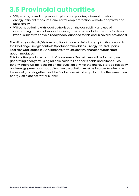## **3.5 Provincial authorities**

- Will provide, based on provincial plans and policies, information about energy-efficient measures, circularity, crop protection, climate adaptivity and biodiversity.
- Will be negotiating with local authorities on the desirability and use of overarching provincial support for integrated sustainability of sports facilities (various initiatives have already been launched to this end in several provinces).

The Ministry of Health, Welfare and Sport made an initial attempt in this area with the Challenge Energieneutrale Sportaccommodaties (Energy-Neutral Sports Facilities Challenge) in 2017. [\[https://starthubs.co/vws/energieneutralesport](https://starthubs.co/nl/vws/energieneutrale-sportaccommodaties/brief) [accommodaties\]](https://starthubs.co/nl/vws/energieneutrale-sportaccommodaties/brief)

This initiative produced a total of five winners. Two winners will be focusing on generating energy by using rollable solar foil on sports fields and pitches. Two other winners will be focusing on the question of what the energy storage capacity and energy generation capacity of an association must be in order to eliminate the use of gas altogether; and the final winner will attempt to tackle the issue of an energy-efficient hot-water supply.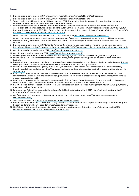- 1. Dutch national government, 2019.<https://www.klimaatakkoord.nl/klimaatakkoord/achtergrond.>
- 2. Dutch national government, 2019.<https://www.klimaatakkoord.nl/klimaatakkoord.>
- 3. Input sessions held in September 2018 and January 2019. Attended by the following parties: local authorities, sports federations, financiers, suppliers, national government, NGOs.
- 4. Representatives from the Ministry of Health, Welfare and Sport; the Association of Sports and Municipalities; the Association of Netherlands Municipalities and the Dutch Olympic Committee\*Dutch Sports Federation (NOC\*NSF) (2018). National Sport Agreement, 2018-2022 Sport unites the Netherlands. The Hague: Ministry of Health, Welfare and Sport (VWS). [https://vng.nl/sites/default/files/sportakkoord](https://www.kenniscentrumsportenbewegen.nl/kennisbank/publicaties/?nationaal-sportakkoord&kb_id=23878) 2018.pdf
- 5. Green Deal sportvelden (Green Deal for Sporting Grounds), 2019 [http://www.greendealsportvelden.nl.](http://www.greendealsportvelden.nl)
- 6. F!tvak, 2010. Normen en Richtlijnen Fitnessaccommodaties (Standards and Guidelines for Fitness Facilities). Version 1.1. 7. Dutch national government, 2016.<https://www.rijksoverheid.nl/onderwerpen/circulaire>-economie/nederland-circulairin-2050.
- 8. Dutch national government, 2019 Letter to Parliament concerning various initiatives relating to a circular economy: <https://www.rijksoverheid.nl/documenten/kamerstukken/2019/10/09/voortgang-diverse-initiatieven-circulaire-economie>
- 9. Circular manufacturing industry, 2019.<https://circulairemaakindustrie.nl/.>
- 10. Circular construction economy, 2019. <https://circulairebouweconomie.nl/.>
- 11. Knowledge Platform 'From Waste to Resources' waste segregation, 2019.<https://www.vang>-hha.nl/programma/
- 12. Green Deals, 2019. Green Deal for Circular Festivals. [https://www.greendeals.nl/green](https://www.greendeals.nl/green-deals/green-deal-circulaire-festivals)-deals/green-deal-circulairefestivals
- 13. Dutch national government, 2019 Report on waste from artificial grass fields and pitches, plus letter to Parliament: [https://](https://www.rijksoverheid.nl/documenten/kamerstukken/2019/02/20/afval-uit-kunstgrasvelden) [www.rijksoverheid.nl/documenten/kamerstukken/2019/02/20/afval-uit-kunstgrasvelden](https://www.rijksoverheid.nl/documenten/kamerstukken/2019/02/20/afval-uit-kunstgrasvelden)
- 14. RVO (Netherlands Enterprise Agency) 2019. SBIR's (Small Business Innovation Research) appeal for environmentally friendly sports fields and pitches: [https://www.rvo.nl/subsidie-en-](https://www.rvo.nl/subsidie-en-financieringswijzer/sbir/sbir-oproep-milieuvriendelijke-sportvelden)financieringswijzer/sbir/sbir-oproep-milieuvriendelijkesportvelden
- 15. BSNC (Sport and Culture Technology Trade Association), 2019. RIVM (Netherlands Institute for Public Health and the Environment): Environmental impact of rubber granulate used on artificial grass fields and pitches: [https://www.bsnc.nl/](https://www.bsnc.nl/dossier-verspreiding-infill/) [dossier-verspreiding-infill/.](https://www.bsnc.nl/dossier-verspreiding-infill/)
- 16. BSNC (Sport and Culture Technology Trade Association), 2019. Supply Chain Agreement for the Processing of Artificial Grass. Arnhem.<https://www.bsnc.nl/wp-content/uploads/2019/01/Convenant> 290119 getekend.pdf
- 17. NGF (Netherlands Golf Federation), 2019. From Green Deal to fully pesticide-free management, [https://www.ngf.nl/themas/](https://www.ngf.nl/caddie/duurzaam-beheer/ipm-als-opvolger-van-green-deal/ipm-2) [duurzaam-beheer/green-deal](https://www.ngf.nl/caddie/duurzaam-beheer/ipm-als-opvolger-van-green-deal/ipm-2)
- 18. Kennisportaal Ruimtelijke Adaptatie (Knowledge Portal for Spatial Adaptation), 2019. [https://ruimtelijkeadaptatie.nl/](https://klimaatadaptatienederland.nl/thema-sector/gezondheid/) [overheden/nas/gezondheid/](https://klimaatadaptatienederland.nl/thema-sector/gezondheid/)
- 19. PBL (Netherlands Environmental Assessment Agency), 2019. Climate Change. [https://www.pbl.nl/onderwerpen/](https://www.pbl.nl/onderwerpen/klimaatverandering) [klimaatverandering](https://www.pbl.nl/onderwerpen/klimaatverandering)
- 20. Spatial Adaptation 2019. <https://ruimtelijkeadaptatie.nl/hulpmiddelen/>
- 21. BodemPlus. 2019. Example: 'Climate-active city: question of smart connections' [https://www.bodemplus.nl/onderwerpen/](https://www.bodemplus.nl/opgaven/klimaatverandering/voorbeeld/) [bodem-ondergrond/kennisagenda/klimaatverandering/voorbeeld/](https://www.bodemplus.nl/opgaven/klimaatverandering/voorbeeld/)
- 22. SBRCURnet, 2014. Approximate cost of climate measures in urban areas. Rotterdam. [https://docplayer.nl/11330288-](https://docplayer.nl/11330288-Kostenindicaties-van-klimaatmaatregelen-in-de-stad.html) [Kostenindicaties-van-klimaatmaatregelen-in-de-stad.html](https://docplayer.nl/11330288-Kostenindicaties-van-klimaatmaatregelen-in-de-stad.html)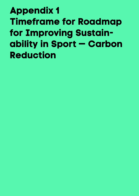**Appendix 1 Timeframe for Roadmap for Improving Sustainability in Sport — Carbon Reduction**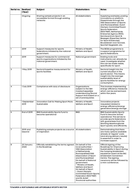| Serial no.     | <b>Realized</b><br>(Year) | <b>Subject</b>                                                                                   | <b>Stakeholders</b>                                                                                                                                                                                                                                                                                                                                                                    | <b>Notes</b>                                                                                                                                                                                                                                                                                                                                                                                       |
|----------------|---------------------------|--------------------------------------------------------------------------------------------------|----------------------------------------------------------------------------------------------------------------------------------------------------------------------------------------------------------------------------------------------------------------------------------------------------------------------------------------------------------------------------------------|----------------------------------------------------------------------------------------------------------------------------------------------------------------------------------------------------------------------------------------------------------------------------------------------------------------------------------------------------------------------------------------------------|
|                | Ongoing                   | Sharing sample projects in an<br>accessible format through existing<br>networks                  | All stakeholders                                                                                                                                                                                                                                                                                                                                                                       | Supplying examples; posting<br>innovations on platform.<br>Disseminate through the<br>VSG (Association of Sports<br>and Municipalities), Dutch<br>Olympic Committee*Dutch<br><b>Sports Federation</b><br>(NOC*NSF), Netherlands<br>Enterprise Agency (RVO),<br>Kenniscentrum Sport &<br>Bewegen (Expertise Centre<br>for Sport & Exercise),<br>Bouwstenen voor Sociaal,<br>Sportief Opgewekt, etc. |
| $\overline{1}$ | 2019                      | Support measures for sports<br>federations initiated by the national<br>government.              | Ministry of Health,<br>Welfare and Sport                                                                                                                                                                                                                                                                                                                                               | The BOSA programme is<br>a support programme for<br>sports federations.                                                                                                                                                                                                                                                                                                                            |
| $\overline{2}$ | 2019                      | Support measures for commercial<br>sports organizations initiated by the<br>national government. | National government                                                                                                                                                                                                                                                                                                                                                                    | Existing tools and<br>instruments can already be<br>used. Investigate whether<br>this can be made visible,<br>specifically for sport.                                                                                                                                                                                                                                                              |
| з              | 1 May 2019                | Sectoral baseline measurement for<br>sports facilities                                           | Ministry of Health,<br>Welfare and Sport                                                                                                                                                                                                                                                                                                                                               | Sectoral insight into the<br>current situation in the<br>sports sector. This means<br>insight into the average<br>sustainability level of<br>sports facilities for energy<br>consumption.                                                                                                                                                                                                          |
| 4              | 1 July 2019               | Compliance with duty of disclosure                                                               | Organizations<br>subject to the Wet<br>maatschappelijke<br>ondersteuning (Social<br>Support Act) based on a<br>set of prerequisites                                                                                                                                                                                                                                                    | This involves implementing<br>energy-efficiency measures<br>which can be earned back<br>within five years.                                                                                                                                                                                                                                                                                         |
| 5              | 1 September<br>2019       | <b>Innovation Call for Making Sport More</b><br>Sustainable                                      | Ministry of Health,<br>Welfare and Sport                                                                                                                                                                                                                                                                                                                                               | Innovative projects<br>requested related to<br>energy-efficiency/energy<br>generation/energy storage                                                                                                                                                                                                                                                                                               |
| ٥              | <b>End of 2019</b>        | <b>BNG Sustainability Sports Fund to</b><br>become operational                                   | <b>BNG</b>                                                                                                                                                                                                                                                                                                                                                                             | <b>BNG Sustainability Sports</b><br>Fund to become active/<br>operational. This serves to<br>provide sports federations<br>with guarantees from the<br>Stichting Waarborgfonds<br>Sport quickly and efficiently.                                                                                                                                                                                   |
| 7              | 2019 and<br>beyond        | Publishing sample projects as a source<br>of inspiration                                         | All stakeholders                                                                                                                                                                                                                                                                                                                                                                       | Demonstrating that there<br>are many options available<br>already at 'regular' costs<br>(and strong delivery results)<br>is essential in order to<br>increase support.                                                                                                                                                                                                                             |
| 8              | 23 January<br>2020        | Officially establishing the terms agreed<br>in the Roadmap                                       | On behalf of the<br>local authorities -<br><b>VNG (Association</b><br>of Netherlands<br>Municipalities)/VSG<br>(Association of Sport<br>and Municipalities)<br>On behalf of National<br>government<br>- Ministry of Health,<br>Welfare and Sport<br>On behalf of Sport<br>- Dutch Olympic<br>Committee*Dutch Sports<br>Federation (NOC*NSF)<br>and NL Actief<br>Provincial authorities | Official signing of the<br>Roadmap for Improving<br>Sustainability in Sport during<br>the Jumping Amsterdam<br>equestrian event at the RAI<br><b>Amsterdam Convention</b><br>Centre. The signing<br>ceremony will be followed by<br>a mini-conference.                                                                                                                                             |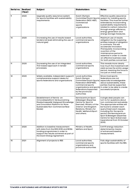| Serial no.      | <b>Realized</b><br>(Year) | <b>Subject</b>                                                                                                                                                                          | <b>Stakeholders</b>                                                                                                                                                                                         | <b>Notes</b>                                                                                                                                                                                                                                                                                                                                     |
|-----------------|---------------------------|-----------------------------------------------------------------------------------------------------------------------------------------------------------------------------------------|-------------------------------------------------------------------------------------------------------------------------------------------------------------------------------------------------------------|--------------------------------------------------------------------------------------------------------------------------------------------------------------------------------------------------------------------------------------------------------------------------------------------------------------------------------------------------|
| 9               | 2020                      | Upgrade quality assurance system<br>for sports facilities with sustainability<br>requirements                                                                                           | Dutch Olympic<br>Committee*Dutch Sports<br>Federation (NOC-NSF).<br>Commercial<br>sports<br>organizations                                                                                                   | Effective quality assurance<br>system for installing sports<br>facilities. This must be further<br>extended by incorporating<br>sustainability requirements<br>related to carbon reduction<br>through energy-efficiency,<br>energy generation and<br>energy storage measures.                                                                    |
| 10              | 2020                      | Increasing the use of results-based<br>tenders (at least eliminating the use of<br>natural gas)                                                                                         | Local authorities,<br>commercial sports<br>organizations                                                                                                                                                    | Maximum use of results<br>obligation by the supplying<br>entities instead of obligation<br>in contracts. This will<br>accelerate innovation.<br>Prerequisite: incorporating<br>a portion of the<br>maintenance period is<br>essential in order to create<br>an effective business case<br>for both parties concerned.                            |
| 11              | 2020                      | Increasing the use of an integrated<br>TCO-based approach in tender<br>processes.                                                                                                       | Local authorities,<br>commercial sports<br>organizations                                                                                                                                                    | This reveals more clearly<br>how much the investment will<br>yield across the entire usage<br>period, meaning the focus is<br>not just on initial costs.                                                                                                                                                                                         |
| 12 <sup>°</sup> | 2020                      | Widely available, independent support/<br>compherensive support desks for<br>sports federations and organizations                                                                       | Local authorities,<br>Dutch Olympic<br>Committee*Dutch Sports<br>Federation (NOS*NSF),<br>commercial sports<br>organizations and sports<br>federations Supported<br>by the provincial<br><b>authorities</b> | Since most sports<br>federations are not<br>especially knowledgeable<br>about sustainability, these<br>parties must be supported<br>in order to be able to create<br>successful projects.                                                                                                                                                        |
| 13              | 2020                      | Establishment of Kennis- en<br>Innovatieplatform Verduurzaming<br>Maatschappelijk Vastgoed (Knowledge<br>and Innovation Platform for More<br>Sustainable Non-Commercial Real<br>Estate) | Kenniscentrum Sport<br>& Bewegen (Expertise<br>Centre for Sport &<br>Exercise), Ministry of the<br><b>Interior and Kingdom</b><br>Relations, Ministry for<br>Health, Welfare & Sport<br>and others.         | A single desk people can<br>turn to for questions about<br>non-commercial real estate.<br>The appropriate entities will<br>be found to answer each<br>query/meet each request,<br>including (for the sports<br>sector) the Kenniscentrum<br>Sport & Bewegen (Expertise<br>Centre for Sport & Exercise)<br>(operational from 10 October<br>2019). |
| 14              | 2020                      | Addition to baseline measurement<br>with data from the EDS 2018 and BOSA<br>funding programmes in order to<br>support the results achieved as part of<br>the Dutch Energy Agreement     | Ministry of Health,<br>Welfare and Sport                                                                                                                                                                    | 0.41 PJ energy reduction<br>determined by means<br>of enhanced baseline<br>measurement.                                                                                                                                                                                                                                                          |
| 15              | 2021                      | Alignment of projects to RES                                                                                                                                                            | Local authorities,<br>commercial sports<br>organizations and<br>provincial authorities                                                                                                                      | Fully align sustainability of<br>sports facilities with the RES.                                                                                                                                                                                                                                                                                 |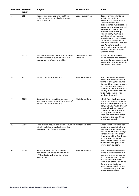| Serial no. | <b>Realized</b><br>(Year) | <b>Subject</b>                                                                                                                             | <b>Stakeholders</b>            | <b>Notes</b>                                                                                                                                                                                                                                                                                                                                                                                                                                                                       |
|------------|---------------------------|--------------------------------------------------------------------------------------------------------------------------------------------|--------------------------------|------------------------------------------------------------------------------------------------------------------------------------------------------------------------------------------------------------------------------------------------------------------------------------------------------------------------------------------------------------------------------------------------------------------------------------------------------------------------------------|
| 16         | 2021                      | Access to data on sports facilities<br>being connected to district-focused<br>heat transition                                              | Local authorities              | Necessary in order to be<br>able to estimate and<br>monitor carbon reduction.<br>As described in the<br>Roadmap for Municipal Real<br>estate as a process commit-<br>ment: From 2021, in the<br>process of improving<br>sustainability, municipal<br>buildings will be incorpo-<br>rated into the district-based<br>implementation plans to<br>eliminate the use of natural<br>gas. As before, portfo-<br>lio-based management will<br>be used, but focusing on<br>specific areas. |
| 17         | 2022                      | First interim results of carbon reduction<br>initiatives Interim evaluation of the<br>sustainability of sports facilities                  | Owners of sports<br>facilities | Based on the baseline<br>measurement and its follow-<br>up, including a measure and<br>monitoring tool to calculate<br>the carbon reduction.                                                                                                                                                                                                                                                                                                                                       |
| 18         | 2022                      | Evaluation of the Roadmap.                                                                                                                 | All stakeholders               | Which facilities have been<br>made more sustainable in<br>terms of energy consump-<br>tion, and how much energy/<br>carbon has been saved?<br>Evaluation of the Roadmap:<br>Do any modifications need<br>to be made in order to<br>achieve the goal?                                                                                                                                                                                                                               |
| 19         | 2025                      | Second interim result for carbon<br>reduction (minimum of 25% reduction);<br>Evaluation of the Roadmap.                                    | All stakeholders               | Which facilities have been<br>made more sustainable in<br>terms of energy consump-<br>tion, and how much energy/<br>carbon has been saved?<br>Evaluation of the Roadmap:<br>Do any modifications<br>need to be made in order<br>to achieve the goal? See<br>previous evaluation.                                                                                                                                                                                                   |
| 20         | 2028                      | Third interim results of carbon reduction All stakeholders<br>initiatives Interim evaluation of the<br>sustainability of sports facilities |                                | Which facilities have been<br>made more sustainable in<br>terms of energy consump-<br>tion, and how much energy/<br>carbon has been saved?<br>Evaluation of the Roadmap:<br>Do any modifications<br>need to be made in order<br>to achieve the goal? See<br>previous evaluation.                                                                                                                                                                                                   |
| 21         | 2030                      | Fourth interim results of carbon<br>reduction initiatives (minimum of<br>49% reduction); Evaluation of the<br>Roadmap.                     | All stakeholders               | Which facilities have been<br>made more sustainable in<br>terms of energy consump-<br>tion, and how much energy/<br>carbon has been saved?<br>Evaluation of the Roadmap:<br>Do any modifications<br>need to be made in order<br>to achieve the goal? See<br>previous evaluation.                                                                                                                                                                                                   |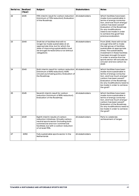| Serial no. | <b>Realized</b><br>(Year) | <b>Subject</b>                                                                                                                                                                                                         | <b>Stakeholders</b> | <b>Notes</b>                                                                                                                                                                                                                                                                                                              |
|------------|---------------------------|------------------------------------------------------------------------------------------------------------------------------------------------------------------------------------------------------------------------|---------------------|---------------------------------------------------------------------------------------------------------------------------------------------------------------------------------------------------------------------------------------------------------------------------------------------------------------------------|
| 22         | 2035                      | Fifth interim result for carbon reduction<br>(minimum of 70% reduction); Evaluation<br>of the Roadmap.                                                                                                                 | All stakeholders    | Which facilities have been<br>made more sustainable in<br>terms of energy consump-<br>tion, and how much energy/<br>carbon has been saved?<br>Evaluation of the Roadmap:<br>Do any modifications<br>need to be made in order<br>to achieve the goal? See<br>previous evaluation.                                          |
| 23         | 2040                      | Draft list of facilities that will no<br>longer be made sustainable at an<br>appropriate time, but for which the<br>date of improving sustainability must<br>be brought forward (this is not without<br>obligation).   | All stakeholders    | From 2040, there will not be<br>enough time left to make<br>the last group of facilities<br>sustainable at appropriate<br>times. The sustainability<br>investment in these facilities<br>has been brought forward<br>in order to ensure that the<br>sports sector will actually be<br>circular and low carbon by<br>2049. |
| 24         | 2040                      | Sixth interim result for carbon reduction   All stakeholders<br>(minimum of 80% reduction); 100%<br>circular purchasing policy. Evaluation of<br>the Roadmap.                                                          |                     | Which facilities have been<br>made more sustainable in<br>terms of energy consump-<br>tion, and how much energy/<br>carbon has been saved?<br>Evaluation of the Roadmap:<br>Do any modifications need to<br>be made in order to achieve<br>the goal?                                                                      |
| 25         | 2045                      | Seventh interim result for carbon<br>reduction (minimum of 85% reduction);<br>Evaluation of the Roadmap.                                                                                                               | All stakeholders    | Which facilities have been<br>made more sustainable in<br>terms of energy consump-<br>tion, and how much energy/<br>carbon has been saved?<br>Evaluation of the Roadmap:<br>Do any modifications need to<br>be made in order to achieve<br>the goal?                                                                      |
| 26         | 2049                      | Eighth interim results of carbon<br>reduction initiatives. Virtually carbon-<br>neutral sports sector (including both<br>commercial and non-commercial<br>facilities), but with a carbon reduction<br>of at least 95%. | All stakeholders    | Party to celebrate<br>achievement of target.                                                                                                                                                                                                                                                                              |
| 27         | 2050                      | Fully sustainable sports sector in the<br><b>Netherlands</b>                                                                                                                                                           | All stakeholders    |                                                                                                                                                                                                                                                                                                                           |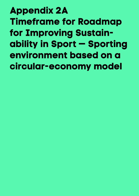**Appendix 2A Timeframe for Roadmap for Improving Sustainability in Sport — Sporting environment based on a circular-economy model**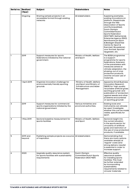| Serial no.     | <b>Realized</b><br>(Year) | <b>Subject</b>                                                                                   | <b>Stakeholders</b>                                                                                | <b>Notes</b>                                                                                                                                                                                                                                                                                                                                                                                                |
|----------------|---------------------------|--------------------------------------------------------------------------------------------------|----------------------------------------------------------------------------------------------------|-------------------------------------------------------------------------------------------------------------------------------------------------------------------------------------------------------------------------------------------------------------------------------------------------------------------------------------------------------------------------------------------------------------|
|                | Ongoing                   | Sharing sample projects in an<br>accessible format through existing<br>networks                  | All stakeholders                                                                                   | Supplying examples;<br>posting innovations on<br>platform. Disseminate<br>through the VSG<br>(Association of Sports<br>and Municipalities),<br>Dutch Olympic<br>Committee*Dutch<br><b>Sports Federation</b><br>(NOC*NSF), Netherlands<br>Enterprise Agency (RVO),<br>Kenniscentrum Sport<br>& Bewegen (Expertise<br>Centre for Sport &<br>Exercise), Bouwstenen<br>voor Sociaal, Sportief<br>Opgewekt, etc. |
| $\overline{1}$ | 2019                      | Support measures for sports<br>federations initiated by the national<br>government.              | Ministry of Health, Welfare<br>and Sport                                                           | The BOSA programme<br>is a support<br>programme for sports<br>federations. Extension<br>of the parameters with<br>measures aimed at<br>climate adaptation, the<br>phasing-out of crop<br>protection products,<br>and the circular use of<br>materials.                                                                                                                                                      |
| $\overline{2}$ | 1 April 2019              | Organize innovation challenge for<br>environmentally friendly sporting<br>grounds                | Ministry of Health, Welfare<br>and Sport and Ministry of<br>Infrastructure and Water<br>Management | <b>Appeal by Small Business</b><br><b>Innovation Research</b><br>(SBIR) for 'high-quality<br>recyclable artificial grass<br>sporting grounds' and<br>publication of 'protection<br>against weeds and other<br>problems encountered<br>on sporting grounds'.                                                                                                                                                 |
| 3              | 2019                      | Support measures for commercial<br>sports organizations initiated by the<br>national government. | Various ministries and<br>provincial authorities.                                                  | Existing tools and<br>instruments can already<br>be used. Investigate<br>whether this can be made<br>visible, specifically for<br>sport.                                                                                                                                                                                                                                                                    |
| 4              | 1 May 2019                | Sectoral baseline measurement for<br>sports facilities                                           | Ministry of Health, Welfare<br>and Sport                                                           | Sectoral insight into<br>the current situation<br>in the sports sector for<br>circularity of artificial<br>grass and restriction of<br>the use of crop protection<br>products, if available.                                                                                                                                                                                                                |
| 5              | 2019 and<br>beyond        | Publishing sample projects as a source<br>of inspiration                                         | All stakeholders                                                                                   | Demonstrating that<br>there are many options<br>available already at<br>'regular' costs (and<br>strong delivery results)<br>is essential in order to<br>increase support.                                                                                                                                                                                                                                   |
| 6              | 2020                      | Upgrade quality assurance system<br>for sports facilities with sustainability<br>requirements    | Dutch Olympic<br>Committee*Dutch Sports<br>Federation (NOC*NSF)                                    | <b>Effective quality</b><br>assurance system<br>for installing sports<br>facilities. This must<br>be further extended<br>by incorporating<br>sustainability<br>requirements related to<br>circular materials.                                                                                                                                                                                               |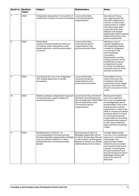| Serial no.     | <b>Realized</b><br>(Year) | <b>Subject</b>                                                                                                                                                                          | <b>Stakeholders</b>                                                                                                                                                                    | <b>Notes</b>                                                                                                                                                                                                                                                                                                                                                                          |
|----------------|---------------------------|-----------------------------------------------------------------------------------------------------------------------------------------------------------------------------------------|----------------------------------------------------------------------------------------------------------------------------------------------------------------------------------------|---------------------------------------------------------------------------------------------------------------------------------------------------------------------------------------------------------------------------------------------------------------------------------------------------------------------------------------------------------------------------------------|
| $\overline{7}$ | 2020                      | Integrated absorption of circularity of<br>materials in tenders for sports facilities.                                                                                                  | Local authorities,<br>commercial sports<br>organizations                                                                                                                               | Key areas of focus<br>are: aligning with the<br><b>Transition Agenda for</b><br>Circular Construction,<br>requirement to collect<br>and reprocess used<br>materials after their<br>lifespan has ended<br>(especially artificial grass<br>fields and pitches, and<br>sports equipment).                                                                                                |
| 8              | 2020                      | Maximizing<br>results-focused tenders (in terms of<br>circularity, water absorption, heat<br>stress reduction, and the elimination<br>of toxins)                                        | Local authorities,<br>commercial sports<br>organizations and<br>provincial authorities                                                                                                 | Maximum use of<br>results obligation by<br>the supplying entities<br>instead of obligation<br>in contracts. This<br>will accelerate<br>innovation.<br>Prerequisite: incorpo-<br>rating a portion of the<br>maintenance period<br>is essential in order<br>to create an effective<br>business case for both<br>parties concerned.                                                      |
| 9              | 2020                      | Increasing the use of an integrated<br>TCO-based approach in tender<br>processes.                                                                                                       | Local authorities,<br>commercial sports<br>organizations and<br>provincial authorities                                                                                                 | This makes it more<br>clear how much the<br>investment will yield<br>across the entire usage<br>period. This means the<br>focus is not just on initial<br>costs.                                                                                                                                                                                                                      |
| 10             | 2020                      | Widely available, independent support/<br>comprehensive support desks for<br>sports federations                                                                                         | Local authorities, the Dutch<br>Olympic Committee*Dutch<br>Sports Federation (NOC*NSF)<br>sports federations and<br>commercial sports<br>organizations                                 | Most sports federa-<br>tions and organiza-<br>tions are not especially<br>knowledgeable about<br>sustainability. This is why<br>these parties must be<br>supported in order to be<br>able to create successful<br>projects. When it comes<br>to commercial sports<br>organizations, providing<br>comprehensive support<br>is also about effective<br>approaches to business<br>cases. |
| 11             | 2020                      | Establishment of Kennis- en<br>Innovatieplatform Verduurzaming<br>Maatschappelijk Vastgoed (Knowledge<br>and Innovation Platform for More<br>Sustainable Non-Commercial Real<br>Estate) | Kenniscentrum Sport &<br>Bewegen (Expertise Centre<br>for Sport & Exercise), Ministry<br>of the Interior and Kingdom<br>Relations, Ministry for Health,<br>Welfare & Sport and others. | A single desk people<br>can turn to for questions<br>about non-commercial<br>real estate. The<br>appropriate entities<br>will be found to answer<br>each query/meet each<br>request, including (for<br>the sports sector) and<br>the Kenniscentrum Sport<br>& Bewegen (Expertise<br>Centre for Sport &<br>Exercise).                                                                  |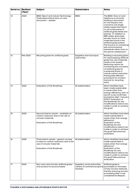| Serial no. | <b>Realized</b><br>(Year) | <b>Subject</b>                                                                                                                              | <b>Stakeholders</b>                                                                               | <b>Notes</b>                                                                                                                                                                                                                                                                                                                                                                                                                                                  |
|------------|---------------------------|---------------------------------------------------------------------------------------------------------------------------------------------|---------------------------------------------------------------------------------------------------|---------------------------------------------------------------------------------------------------------------------------------------------------------------------------------------------------------------------------------------------------------------------------------------------------------------------------------------------------------------------------------------------------------------------------------------------------------------|
| 12         | 2020                      | <b>BSNC (Sport and Culture Technology</b><br>Trade Association) duty-of-care<br>document - update                                           | <b>BSNC</b>                                                                                       | The BSNC 'Duty of care'<br>taskforce is currently<br>drafting a document<br>for the industry: this<br>concerns one single,<br>widely supported report<br>on all components of<br>artificial grass fields and<br>pitches. 'In addition to<br>SBR rubber granulate,<br>we also focus on other<br>materials found in the<br>artificial grass system.<br>The focus is on complying<br>with environmental<br>standards rather than on<br>the sports-related part.' |
| 13         | Mid-2020                  | Recycling plant for artificial grass                                                                                                        | Suppliers and municipal<br>authorities                                                            | Building a recycling plant<br>for reprocessing artificial<br>grass into new materials<br>ready to be reused.<br>Reducing carbon by<br>monitoring the circularity<br>of artificial grass for<br>a potential share in<br>overall carbon reduction.<br>Prerequisite: Efficient<br>procedure for location<br>licence for recycling<br>plant.                                                                                                                      |
| 14         | 2022                      | Evaluation of the Roadmap.                                                                                                                  | All stakeholders                                                                                  | Which facilities have<br>been made sustainable<br>in areas other than<br>energy-efficiency; year of<br>launch to be confirmed<br>(sometime after 1 January)<br>2019?). Evaluation of<br>the Roadmap: Do any<br>modifications need to be<br>made in order to achieve<br>the goal?                                                                                                                                                                              |
| 15         | 2025                      | Second interim results - available on<br>carbon reduction due to the use of<br>circular materials<br>Evaluation of the Roadmap.             | All stakeholders                                                                                  | Which facilities have been<br>made sustainable in<br>areas other than energy-<br>efficiency?<br>Evaluation of the<br>Roadmap: Do any<br>modifications need to be<br>made in order to achieve<br>the goal? See previous<br>evaluation.                                                                                                                                                                                                                         |
| 16         | 2028                      | Third interim results - generic access<br>to data on carbon reduction due to the<br>use of circular materials<br>Evaluation of the Roadmap. | All stakeholders                                                                                  | Which facilities have been<br>made sustainable in<br>areas other than energy-<br>efficiency?<br>Evaluation of the<br>Roadmap: Do any<br>modifications need to be<br>made in order to achieve<br>the goal? See previous<br>evaluation.                                                                                                                                                                                                                         |
| 17         | 2030                      | Non-toxic and circular artificial grass -<br>only product to be purchased.                                                                  | Suppliers, local authorities,<br>owners of commercial sports purchased on the basis<br>facilities | Artificial grass is<br>of fully circular methods,<br>thereby ensuring circular<br>processing after it has<br>completed its lifespan.                                                                                                                                                                                                                                                                                                                          |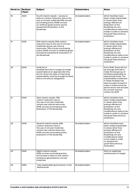| Serial no. | <b>Realized</b><br>(Year) | <b>Subject</b>                                                                                                                                                                                                                                       | <b>Stakeholders</b> | <b>Notes</b>                                                                                                                                                                                                                                                                                                                 |
|------------|---------------------------|------------------------------------------------------------------------------------------------------------------------------------------------------------------------------------------------------------------------------------------------------|---------------------|------------------------------------------------------------------------------------------------------------------------------------------------------------------------------------------------------------------------------------------------------------------------------------------------------------------------------|
| 18         | 2030                      | Fourth interim results - access to<br>data on carbon reduction due to the<br>use of circular materials 50% circular<br>purchasing policy (100% circular<br>on artificial grass and for sports<br>equipment) Evaluation of the<br>Roadmap.            | All stakeholders    | Which facilities have<br>been made sustainable<br>in areas other than<br>energy-efficiency?<br>Evaluation of the<br>Roadmap: Do any<br>modifications need to be<br>made in order to achieve<br>the goal? See previous<br>evaluation.                                                                                         |
| 19         | 2035                      | Fifth interim results, 50% carbon<br>reduction due to the use of circular<br>materials versus new natural<br>resources. 75% circular purchasing<br>policy (100% circular on artificial grass<br>and sports equipment). Evaluation of<br>the Roadmap. | All stakeholders    | Which facilities have<br>been made sustainable<br>in areas other than<br>energy-efficiency?<br>Evaluation of the<br>Roadmap: Do any<br>modifications need to be<br>made in order to achieve<br>the goal? See previous<br>evaluation.                                                                                         |
| 20         | 2040                      | Draft list of<br>facilities that will no longer be made<br>sustainable at an appropriate time,<br>but for which the date of improving<br>sustainability must be brought forward<br>(this is not without obligation).                                 | All stakeholders    | From 2040, there will not<br>be enough time left to<br>make the last group of<br>facilities sustainable at<br>appropriate times. The<br>sustainability investment<br>in these facilities has<br>been brought forward in<br>order to ensure that the<br>sports sector will actually<br>be circular and low<br>carbon by 2049. |
| 21         | 2040                      | Sixth interim results, 75%<br>carbon reduction due to<br>the use of circular materials<br>versus new natural resources.<br>100% circular purchasing policy.<br>Evaluation of the Roadmap.                                                            | All stakeholders    | Which facilities have<br>been made sustainable<br>in areas other than<br>energy-efficiency?<br>Evaluation of the<br>Roadmap: Do any<br>modifications need to be<br>made in order to achieve<br>the goal? See previous<br>evaluation.                                                                                         |
| 22         | 2045                      | Seventh interim results, 80%<br>carbon reduction due to<br>the use of circular materials<br>versus new natural resources.<br>100% circular purchasing policy.<br>Evaluation of the Roadmap.                                                          | All stakeholders    | Which facilities have<br>been made sustainable<br>in areas other than<br>energy-efficiency?<br>Evaluation of the<br>Roadmap: Do any<br>modifications need<br>to be made in order<br>to achieve the<br>goal? See previous<br>evaluation.                                                                                      |
| 23         | 2049                      | Eighth interim results.<br>100% circular purchasing policy.<br>Full access to data on the carbon<br>emissions generated by circular<br>materials.                                                                                                    | All stakeholders    | Party to celebrate<br>achievement of target.                                                                                                                                                                                                                                                                                 |
| 24         | 2050                      | Fully sustainable sports sector in the<br><b>Netherlands</b>                                                                                                                                                                                         | All stakeholders    |                                                                                                                                                                                                                                                                                                                              |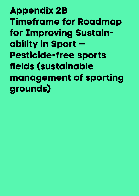**Appendix 2B Timeframe for Roadmap for Improving Sustainability in Sport — Pesticide-free sports fields (sustainable management of sporting grounds)**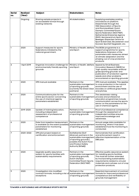| <b>Serial</b><br>no. | <b>Realized</b><br>(Year) | <b>Subject</b>                                                                                                          | <b>Stakeholders</b>                                                                                                                                                         | <b>Notes</b>                                                                                                                                                                                                                                                                                                                                                                          |
|----------------------|---------------------------|-------------------------------------------------------------------------------------------------------------------------|-----------------------------------------------------------------------------------------------------------------------------------------------------------------------------|---------------------------------------------------------------------------------------------------------------------------------------------------------------------------------------------------------------------------------------------------------------------------------------------------------------------------------------------------------------------------------------|
|                      | Ongoing                   | Sharing sample projects in<br>an accessible format through<br>existing networks                                         | All stakeholders                                                                                                                                                            | Supplying examples; posting<br>innovations on platform.<br>Disseminate through the<br>VSG (Association of Sports<br>and Municipalities), Dutch<br>Olympic Committee*Dutch<br>Sports Federation (NOC*NSF),<br>Netherlands Enterprise Agency<br>(RVO), Kenniscentrum Sport &<br>Bewegen (Expertise Centre for<br>Sport & Exercise), Bouwstenen voor<br>Sociaal, Sportief Opgewekt, etc. |
| 1                    | 2020                      | Support measures for sports<br>federations initiated by the<br>national government.                                     | Ministry of Health, Welfare<br>and Sport                                                                                                                                    | The BOSA programme is a<br>support programme for sports<br>federations. Extension of the<br>parameters with measures aimed<br>at climate adaptation and the<br>phasing-out of crop protection<br>products                                                                                                                                                                             |
| $\overline{2}$       | 1 April 2019              | Organize innovation challenge for<br>environmentally friendly sporting<br>grounds                                       | Ministry of Health, Welfare<br>and Sport                                                                                                                                    | <b>Appeal by Small Business</b><br>Innovation Research (SBIR) for<br>'high-quality recyclable artificial<br>grass sporting grounds' and<br>publication of 'protection against<br>weeds and other problems<br>encountered on sporting grounds'.                                                                                                                                        |
| 3                    | 2020                      | IPM manual available                                                                                                    | Partners in the<br>of sporting grounds<br>(currently the Green Deal<br>partners)                                                                                            | IPM manual available. This applies<br>sustainable management to crop protection in the natural<br>environment and the use of<br>biocides on artificial grass fields<br>and pitches.                                                                                                                                                                                                   |
| 4                    | 2020                      | Communications plan for the<br>entire sports sector concerning<br>the use of chemical agents;<br>parameters established | Partners in the<br>sustainable management<br>of sporting grounds                                                                                                            | The awareness-raising<br>process and professional<br>education programmes include<br>communication across the sports<br>sector on the parameters for the<br>use of chemical agents.                                                                                                                                                                                                   |
| 5                    | 2019-2020                 | Update of training/education,<br>including independent<br>assessment of professional<br>competence                      | Partners in the<br>sustainable management<br>of sporting grounds                                                                                                            | Proof of professional competence<br>through the assessment of<br>independent entities ensures<br>improved knowledge and<br>awareness.                                                                                                                                                                                                                                                 |
| 6                    | 2020                      | Date from baseline measurement<br>is available (to the extent possible);<br>parameters for monitoring<br>established.   | Partners in the<br>sustainable management<br>of sporting grounds                                                                                                            | Annual usage data available for<br>monitoring, where it has been<br>established how the monitoring is<br>conducted.                                                                                                                                                                                                                                                                   |
| 7                    | 2020-2022                 | IPM pilot project based on<br>certification and enforcement                                                             | Golfalliantie (Golf<br>Alliance); partners in the<br>sustainable management<br>of sporting grounds (,<br>possibly the Dutch Food<br>and Product Safety<br>Authority [NVWA]) | Demonstrate that certification<br>and enforcement result in<br>effective implementation of the<br>DBS plan.                                                                                                                                                                                                                                                                           |
| 8                    | 2020                      | Upgrade quality assurance<br>system for sports facilities with<br>sustainability requirements                           | Partners in the<br>sustainable management<br>of sporting grounds,<br>Dutch Olympic<br>Committee*Dutch Sports<br>Federation (NOC*NSF)                                        | Effective quality assurance system<br>for installing sports facilities.<br>This must be further extended<br>by incorporating sustainability<br>requirements related to circular<br>materials and a phase-out of crop<br>protection products.                                                                                                                                          |
| 9                    | 2020                      | Investigation into modified<br>contract formats, including a list of<br>exceptions                                      | Partners in the<br>sustainable management<br>of sporting grounds                                                                                                            | Essential improvement of contract<br>formats for improved professional<br>competence and verifiability of<br>grounds management                                                                                                                                                                                                                                                       |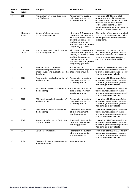| <b>Serial</b><br>no. | <b>Realized</b><br>(Year) | <b>Subject</b>                                                                                             | <b>Stakeholders</b>                                                                                                                                                               | <b>Notes</b>                                                                                                                                                                                                                           |
|----------------------|---------------------------|------------------------------------------------------------------------------------------------------------|-----------------------------------------------------------------------------------------------------------------------------------------------------------------------------------|----------------------------------------------------------------------------------------------------------------------------------------------------------------------------------------------------------------------------------------|
| 10                   | 2021                      | First evaluation of the Roadmap<br>and GDS plan.                                                           | Partners in the sustain-<br>able management of<br>sporting grounds                                                                                                                | Evaluation of DBS plan, pilot<br>project, update of training and<br>education, and initial monitoring<br>data for reduction in the use<br>of chemical agents. Do any<br>modifications need to be made in<br>order to achieve the goal? |
| 11                   | 1 January<br>2020         | No use of chemical crop<br>protection products                                                             | Ministry of Infrastructure<br>and Water Management,<br>Ministry of Health, Welfare<br>and the Environment<br>and partners in the<br>sustainable management<br>of sporting grounds | Elimination of the use of chemical<br>crop protection products, but in-<br>cluding a list of alternatives and<br>exceptions.                                                                                                           |
| 12                   | 1 January<br>2023         | Ban on the use of chemical crop<br>protection products                                                     | Ministry of Infrastructure<br>and Water Management,<br>Ministry of Health, Welfare<br>and the Environment<br>and partners in the<br>sustainable management<br>of sporting grounds | The Ministry of Infrastructure<br>and Water Management aims to<br>eliminate the use of all chemical<br>crop protection products on<br>sporting grounds beyond 2022.                                                                    |
| 13                   | 2023                      | 100% reduction in the use of<br>chemical crop protection<br>products; second evaluation of the<br>Roadmap. | Partners in the<br>sustainable management<br>of sporting grounds                                                                                                                  | Evaluation of DBS plan: Are follow-<br>up measures necessary in order<br>to ensure grounds management?<br>Monitoring data available                                                                                                    |
| 14                   | 2028                      | Third interim results. Evaluation of<br>the Roadmap.                                                       | Partners in the sustain-<br>able management of<br>sporting grounds                                                                                                                | Evaluation of DBS plan: Are follow-<br>up measures necessary in order<br>to ensure grounds management?<br>Monitoring data available                                                                                                    |
| 15                   | 2030                      | Fourth interim results. Evaluation of<br>the Roadmap.                                                      | Partners in the sustain-<br>able management of<br>sporting grounds                                                                                                                | Evaluation of DBS plan: Are follow-<br>up measures necessary in order<br>to ensure grounds management?<br>Monitoring data available                                                                                                    |
| 16                   | 2035                      | Fifth interim results. Evaluation of<br>the Roadmap.                                                       | Partners in the sustain-<br>able management of<br>sporting grounds                                                                                                                | Evaluation of DBS plan: Are follow-<br>up measures necessary in order<br>to ensure grounds management?<br>Monitoring data available                                                                                                    |
| 17                   | 2040                      | Sixth interim results. Evaluation of<br>the Roadmap.                                                       | Partners in the sustain-<br>able management of<br>sporting grounds                                                                                                                | Evaluation of DBS plan: Are follow-<br>up measures necessary in order<br>to ensure grounds management?<br>Monitoring data available                                                                                                    |
| 18                   | 2045                      | Seventh interim results. Evaluation<br>of the Roadmap.                                                     | Partners in the sustain-<br>able management of<br>sporting grounds                                                                                                                | Evaluation of DBS plan: Are follow-<br>up measures necessary in order<br>to ensure grounds management?<br>Monitoring data available                                                                                                    |
| 19                   | 2049                      | Eighth interim results.                                                                                    | Partners in the sustain-<br>able management of<br>sporting grounds                                                                                                                | Evaluation of DBS plan: Are follow-<br>up measures necessary in order<br>to ensure grounds management?<br>Monitoring data available                                                                                                    |
| 20                   | 2050                      | Fully sustainable sports sector in<br>the Netherlands                                                      | All stakeholders                                                                                                                                                                  |                                                                                                                                                                                                                                        |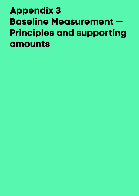# **Appendix 3 Baseline Measurement — Principles and supporting amounts**

- 
- 
- 
- 
- 
-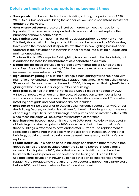### **Details on timeline for appropriate replacement times**

- **Solar panels:** can be installed on top of buildings during the period from 2020 to 2050. As our basis for calculating the scenarios, we used a consistent investment throughout the years.
- **Solar energy collectors:** these are installed in order to meet the need for hot tap water. This measure is incorporated into scenario 4 and will replace the purchase of (new) electric boilers.
- **LED lighting:** used from now in all buildings at appropriate replacement times. It is likely that existing lighting in all buildings must be replaced by 2030, as they have ended their technical lifespan. Reinvestment in new lighting has not been factored in; the assumption is that this is incorporated into existing budgets and maintenance plans.
- The transition to LED lamps for field lighting is not included in the final totals, but is added to the baseline measurement as a separate calculation.
- **Electric boilers:** these are used to replace conventional boilers. Since the use of all fossil fuels will be banned by 2030, the measure must also have been implemented everywhere by 2030.
- **High-efficiency glazing:** In existing buildings, single glazing will be replaced with high-efficiency glazing at appropriate replacement times, i.e. when buildings are 50 years old. Between now and the end of 2050, it is expected that high-efficiency glazing will be installed in a large number of buildings.
- **Heat grids:** buildings that are not yet heated with all-electric heating by 2030 will be connected to a heat grid. The costs of connection to the heat grid for sports associations and owners of the sports facilities are included. The costs of installing heat grids and heat sources are not included.
- **Heat pumps:** will be used prior to 2030 in buildings constructed after 1992. Under the Building Decree, insulation is sufficient for heating buildings through the use of heating pumps. In all other buildings, heat pumps can be installed after 2030, since these buildings will be sufficiently insulated at that time.
- **Roof insulation:** Between now until the end of 2050, roof insulation will be used in all buildings constructed prior to 2000, since the technical lifespan of roofs in these buildings is expected to have ended after 50 years. The replacement of roofs can be combined in this case with the use of roof insulation. In the other buildings, additional roof insulation can be used if necessary and if roofs are replaced.
- **Facade insulation:** This can be used in buildings constructed prior to 1992, since these buildings are less insulated under the Building Decree. It would make sense to do this prior to 2030, since that is when all buildings must be either heated with electric power or connected to the heat grid. It is possible to use additional insulation in newer buildings if this can be incorporated when replacing the facades. Note that this is not expected to happen on a large scale before 2050, and these costs are therefore not included.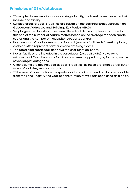## **Principles of DSA/database:**

- If multiple clubs/associations use a single facility, the baseline measurement will include one facility.
- Surface areas of sports facilities are based on the Basisregistratie Adressen en Gebouwen (Addresses and Buildings Key Registry/BAG).
- Very large-sized facilities have been filtered out. An assumption was made to this end of the number of square metres based on the average for each sports sector and the number of fields/pitches/sports centres.
- User function of hockey, tennis and football (soccer) facilities is 'meeting place', as these often represent cafeterias and dressing rooms.
- The remaining sports facilities have the user function 'sport'.
- Not all facilities are included in the calculation (e.g. golf clubs). However, a minimum of 90% of the sports facilities has been mapped out, by focusing on the seven largest categories.
- Gymnasiums are not included as sports facilities, as these are often part of other types of facilities, such as schools.
- If the year of construction of a sports facility is unknown and no data is available from the Land Registry, the year of construction of 1965 has been used as a basis.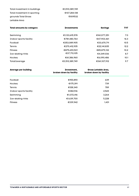| Total investment in buildings | €3.513.389.749 |
|-------------------------------|----------------|
| Total investment in sporting  | €137.284.138   |
| grounds Total Gross           | 15109532       |
| Lettable Area                 |                |

| <b>Total amounts by category</b> | <b>Investments</b> | <b>Savings</b> | <b>TVT</b>        |
|----------------------------------|--------------------|----------------|-------------------|
| Swimming                         | €1,133,615,578     | €161.077.251   | 7.0               |
| Indoor sports facility           | €781,480,764       | €47.903.461    | 16.3              |
| Football                         | €353,089,905       | €33,670,711    | 10.5              |
| Tennis                           | €270.412.935       | €22.141.835    | 12.2              |
| <b>Fitness</b>                   | €875.690.501       | €85,875,132    | 10.2 <sub>1</sub> |
| Ice-skating rinks                | €37.713.105        | €4.349.036     | 8.7               |
| Hockey                           | €61,386,960        | €6.090.486     | 10.1              |
| Total/average                    | €3.513.389.749     | €361.107.912   | 9.7               |

| <b>Average per building</b> | Investment.<br>broken down by facility | <b>Gross Lettable Area,</b><br>broken down by facility |  |
|-----------------------------|----------------------------------------|--------------------------------------------------------|--|
| Football                    | €155,890                               | 639                                                    |  |
| Hockey                      | €175,391                               | 739                                                    |  |
| Tennis                      | €128,340                               | 789                                                    |  |
| Indoor sports facility      | €382.516                               | 2,565                                                  |  |
| Swimming                    | €1.372.416                             | 3.264                                                  |  |
| Ice-skating rinks           | €1,639,700                             | 5.228                                                  |  |
| <b>Fitness</b>              | €339,942                               | 1,431                                                  |  |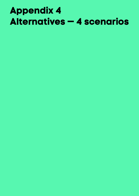# **Appendix 4 Alternatives — 4 scenarios**

- 
- 
- 
- 
- 
- 
- 
- 
- -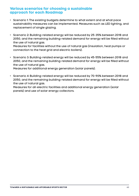### **Various scenarios for choosing a sustainable approach for each Roadmap**

- Scenario 1: The existing budgets determine to what extent and at what pace sustainability measures can be implemented. Measures such as LED lighting, and replacement of single glazing.
- Scenario 2: Building-related energy will be reduced by 25-35% between 2018 and 2050, and the remaining building-related demand for energy will be filled without the use of natural gas. Measures for facilities without the use of natural gas (insulation, heat pumps or

connection to the heat grid and electric boilers).

• Scenario 3: Building-related energy will be reduced by 45-55% between 2018 and 2050, and the remaining building-related demand for energy will be filled without the use of natural gas.

Measures for additional energy generation (solar panels).

• Scenario 4: Building-related energy will be reduced by 70-90% between 2018 and 2050, and the remaining building-related demand for energy will be filled without the use of natural gas.

Measures for all-electric facilities and additional energy generation (solar panels) and use of solar energy collectors.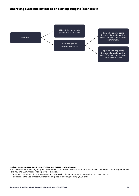Scenario 1

LED lighting for sports grounds and facilities

Replace gas at appropriate times

High-efficiency glazing instead of double glazing glass (year of construction: before 1983)

High-efficiency glazing instead of double glazing glass (year of construction: after 1983 to 2013)

#### **Basis for Scenario 1 (Author: RVO (NETHERLANDS ENTERPRISE AGENCY))**

The basis is that the existing budgets determine to what extent and at what pace sustainability measures can be implemented. For 2030 and 2050, this scenario provides data on:

- Estimated actual building-related energy consumption, including energy generation on a plot of land;
- Reduction in the use of fossil fuels for the purpose of building heating (2030 only)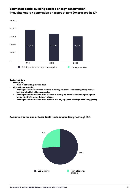#### **Estimated actual building-related energy consumption, including energy generation on a plot of land (expressed in TJ)**



**Basic conditions**

- **• LED lighting**
- **· Used in all buildings before 2030**
- **• High-efficiency glazing**
	- **· Buildings constructed before 1983 are currently equipped with single glazing and will be fitted with high-efficiency glazing**
	- **· Buildings constructed in or after 1983 are currently equipped with double glazing and will be fitted with high-efficiency glazing**
	- **· Buildings constructed in or after 2013 are already equipped with high-efficiency glazing**

#### **Reduction in the use of fossil fuels (including building heating) (TJ)**

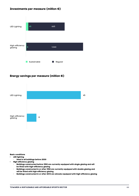#### **Investments per measure (million €)**



#### **Energy savings per measure (million €)**



#### **Basic conditions**

- **• LED lighting**
	- **· Used in all buildings before 2030**
- **• High-efficiency glazing**
	- **· Buildings constructed before 1983 are currently equipped with single glazing and will be fitted with high-efficiency glazing**
	- **· Buildings constructed in or after 1983 are currently equipped with double glazing and will be fitted with high-efficiency glazing**
	- **· Buildings constructed in or after 2013 are already equipped with high-efficiency glazing**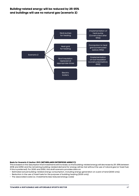#### **Building-related energy will be reduced by 25-35% and buildings will use no natural gas (scenario 2)**



#### **Basis for Scenario 2 (Author: RVO (NETHERLANDS ENTERPRISE AGENCY))**

This is based on the assumption that investments will increase, so that building-related energy will decrease by 25-35% between 2018 and 2050 and the remaining building-related demand for energy will be met without the use of natural gas (or fossil fuel, if this is preferred). For 2030 and 2050, this draft scenario provides data on:

- Estimated actual building-related energy consumption, including energy generation on a plot of land (2030 only);
- Reduction in the use of fossil fuels for the purpose of building heating (2030 only);
- The associated costs (i.e. investments less reduced energy costs)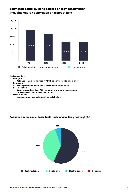#### **Estimated actual building-related energy consumption, including energy generation on a plot of land**



#### **Basic conditions**

- **• Heat grid**
- **· Buildings constructed before 1992 will be connected to a heat grid**
- **• Heat pump**
- **· Buildings constructed before 1992 will install a heat pump**
- **• Roof insulation**
	- **· Use at appropriate times (50 years after the year of construction), i.e. all buildings constructed before 2000**
- **• Electric boilers**
	- **· Replace current gas boilers with electric boilers**

#### **Reduction in the use of fossil fuels (including building heating) (TJ)**

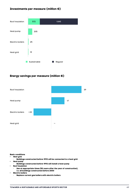#### **Investments per measure (million €)**



### **Energy savings per measure (million €)**



#### **Basic conditions**

- **• Heat grid**
- **· Buildings constructed before 1992 will be connected to a heat grid • Heat pump**
- **· Buildings constructed before 1992 will install a heat pump**
- **• Roof insulation**
	- **· Use at appropriate times (50 years after the year of construction), i.e. all buildings constructed before 2000**
- **• Electric boilers**
	- **· Replace current gas boilers with electric boilers**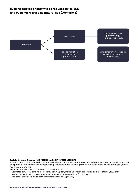#### **Building-related energy will be reduced by 45-55% and buildings will use no natural gas (scenario 3)**



#### **Basis for Scenario 3 (Author: RVO (NETHERLANDS ENTERPRISE AGENCY))**

This is based on the assumption that investments will increase, so that building-related energy will decrease by 45-55% compared to 2018 and the remaining building-related demand for energy will be met without the use of natural gas (or fossil fuel, if this is preferred).

For 2030 and 2050, this draft scenario provides data on:

- Estimated actual building-related energy consumption, including energy generation on a plot of land (2030 only)
- Reduction in the use of fossil fuels for the purpose of building heating (2030 only)
- The associated costs (i.e. investments less reduced energy costs).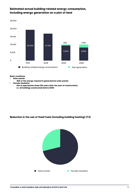#### **Estimated actual building-related energy consumption, including energy generation on a plot of land**



**Basic conditions**

- **• Solar panels**
- **· 40% of the energy required is generated by solar panels**
- **• Facade insulation**
	- **· Use at appropriate times (50 years after the year of construction), i.e. all buildings constructed before 2000**

#### **Reduction in the use of fossil fuels (including building heating) (TJ)**

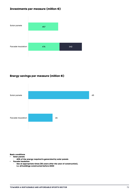#### **Investments per measure (million €)**



### **Energy savings per measure (million €)**



#### **Basic conditions**

- **• Solar panels**
- **· 40% of the energy required is generated by solar panels**
- **• Facade insulation**
	- **· Use at appropriate times (50 years after the year of construction), i.e. all buildings constructed before 2000**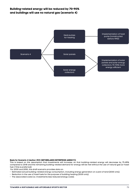#### **Building-related energy will be reduced by 70-90% and buildings will use no natural gas (scenario 4)**



#### **Basis for Scenario 4 (Author: RVO (NETHERLANDS ENTERPRISE AGENCY))**

This is based on the assumption that investments will increase, so that building-related energy will decrease by 75-85% compared to 2018 and the remaining building-related demand for energy will be met without the use of natural gas (or fossil fuel, if this is preferred).

For 2030 and 2050, this draft scenario provides data on:

- Estimated actual building-related energy consumption, including energy generation on a plot of land (2030 only);
- Reduction in the use of fossil fuels for the purpose of building heating (2030 only);
- The associated costs (i.e. investments less reduced energy costs).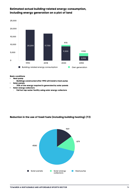#### **Estimated actual building-related energy consumption, including energy generation on a plot of land**



#### **Basic conditions**

- **• Heat pump**
- **· Buildings constructed after 1992 will install a heat pump • Solar panels**
- **· 70% of the energy required is generated by solar panels**
- **• Solar energy collectors**
	- **· Full hot tap-water facility using solar energy collectors**

#### **Reduction in the use of fossil fuels (including building heating) (TJ)**

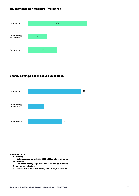#### **Investments per measure (million €)**



#### **Energy savings per measure (million €)**



#### **Basic conditions**

- **• Heat pump**
- **· Buildings constructed after 1992 will install a heat pump • Solar panels**
- **· 70% of the energy required is generated by solar panels • Solar energy collectors**
	- **· Full hot tap-water facility using solar energy collectors**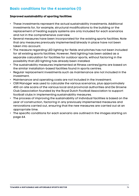# **Basic conditions for the 4 scenarios (1)**

#### **Improved sustainability of sporting facilities:**

- These investments represent the actual sustainability investments. Additional investments for, for example, structural modifications to the building or the replacement of heating supply systems are only included for each scenarios and not in the comprehensive overview.
- Several measures have been incorporated for the existing sports facilities. Note that any measures previously implemented/already in place have not been taken into account.
- The measure regarding LED lighting for fields and pitches has not been included for all existing sports facilities. However, field lighting has been added as a separate calculation for facilities for outdoor sports, without factoring in the possibility that LED lighting has already been installed.
- The sustainability measures implemented at fitness centres/gyms are based on the similar installation-based facilities found in sports centres.
- Regular replacement investments such as maintenance are not included in the investment.
- Maintenance and operating costs are not included in the investment.
- CSR Manager was used to calculate the various scenarios, plus approximately 400 on-site scans of the various local and provincial authorities and De Groene Club (association founded by the Royal Dutch Football Association to support football clubs in implementing sustainability measures.
- The process of improving the sustainability of individual facilities is based on the year of construction, factoring in any previously implemented measures and renovations carried out, ensuring that the new measures are carried out at an appropriate time.
- The specific conditions for each scenario are outlined in the images starting on page 64.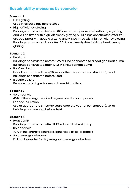# **Sustainability measures by scenario:**

### **Scenario 1**

- LED lighting Used in all buildings before 2030
- High-efficiency glazing

Buildings constructed before 1983 are currently equipped with single glazing and will be fitted with high-efficiency glazing o Buildings constructed after 1983 are equipped with double glazing and will be fitted with high-efficiency glazing Buildings constructed in or after 2013 are already fitted with high-efficiency glazing.

## **Scenario 2**

- Heat grid Buildings constructed before 1992 will be connected to a heat grid Heat pump Buildings constructed after 1992 will install a heat pump
- Roof insulation Use at appropriate times (50 years after the year of construction), i.e. all buildings constructed before 2001
- Electric boilers Replace current gas boilers with electric boilers

## **Scenario 3**

- Solar panels 40% of the energy required is generated by solar panels
- Facade insulation Use at appropriate times (50 years after the year of construction), i.e. all buildings constructed before 2001

### **Scenario 4**

- Heat pump Buildings constructed after 1992 will install a heat pump
- Solar panels 70% of the energy required is generated by solar panels
- Solar energy collectors Full hot tap-water facility using solar energy collectors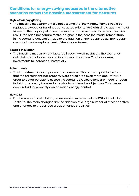# **Conditions for energy-saving measures in the alternative scenarios versus the baseline measurement for Measures**

#### **High-efficiency glazing**

• The baseline measurement did not assume that the window frames would be replaced, except for buildings constructed prior to 1965 with single gas in a metal frame. In the majority of cases, the window frame will need to be replaced. As a result, the price per square metre is higher in the baseline measurement than in the scenario calculation, due to the addition of the regular costs. The regular costs include the replacement of the window frame.

#### **Facade insulation**

• The baseline measurement factored in cavity-wall insulation. The scenarios calculations are based only on interior-wall insulation. This has caused investments to increase substantially.

#### **Solar panels**

• Total investment in solar panels has increased. This is due in part to the fact that the calculations per property were calculated even more accurately, in order to better be able to assess the scenarios. Calculations are made for each individual property in order to be able to achieve the objectives. This means each individual property can be made energy-neutral.

#### **New DSA**

• For the scenario calculation, a new version was used of the DSA of the Mulier Institute. The main changes are the addition of a large number of fitness centres and changes to the surface areas of various facilities.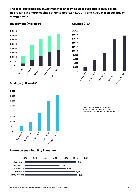#### **The total sustainability investment for energy-neutral buildings is €3.5 billion; this results in energy savings of up to approx. 18,000 TJ and €360 million savings on energy costs**



### **Investment (million €)** Savings (TJ)\*



## **Savings (million €)\***



\* savings represent maximum savings per year once all the measures have been implemented

#### **Return on sustainability investment**

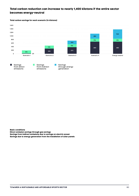#### **Total carbon reduction can increase to nearly 1,400 kilotons if the entire sector becomes energy-neutral**

**Total carbon savings for each scenario (in kilotons)**





**Basic conditions Direct emission savings through gas savings Savings from indirect emissions due to savings on electric power** 

**Savings due to energy generation from the installation of solar panels**